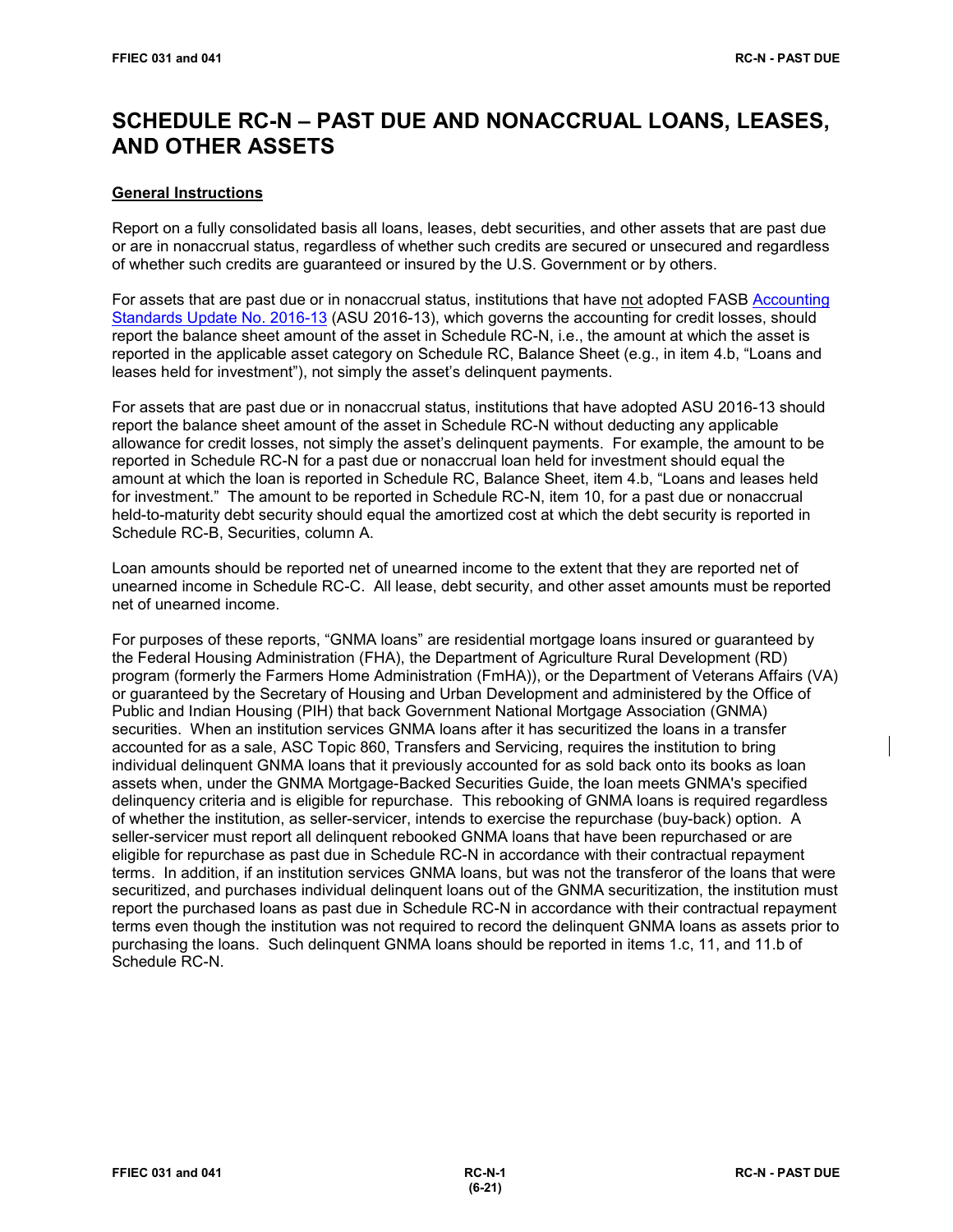# **SCHEDULE RC-N – PAST DUE AND NONACCRUAL LOANS, LEASES, AND OTHER ASSETS**

# **General Instructions**

Report on a fully consolidated basis all loans, leases, debt securities, and other assets that are past due or are in nonaccrual status, regardless of whether such credits are secured or unsecured and regardless of whether such credits are guaranteed or insured by the U.S. Government or by others.

For assets that are past due or in nonaccrual status, institutions that have not adopted FASB [Accounting](https://www.fasb.org/jsp/FASB/Document_C/DocumentPage?cid=1176168232528&acceptedDisclaimer=true)  [Standards Update No. 2016-13](https://www.fasb.org/jsp/FASB/Document_C/DocumentPage?cid=1176168232528&acceptedDisclaimer=true) (ASU 2016-13), which governs the accounting for credit losses, should report the balance sheet amount of the asset in Schedule RC-N, i.e., the amount at which the asset is reported in the applicable asset category on Schedule RC, Balance Sheet (e.g., in item 4.b, "Loans and leases held for investment"), not simply the asset's delinquent payments.

For assets that are past due or in nonaccrual status, institutions that have adopted ASU 2016-13 should report the balance sheet amount of the asset in Schedule RC-N without deducting any applicable allowance for credit losses, not simply the asset's delinquent payments. For example, the amount to be reported in Schedule RC-N for a past due or nonaccrual loan held for investment should equal the amount at which the loan is reported in Schedule RC, Balance Sheet, item 4.b, "Loans and leases held for investment." The amount to be reported in Schedule RC-N, item 10, for a past due or nonaccrual held-to-maturity debt security should equal the amortized cost at which the debt security is reported in Schedule RC-B, Securities, column A.

Loan amounts should be reported net of unearned income to the extent that they are reported net of unearned income in Schedule RC-C. All lease, debt security, and other asset amounts must be reported net of unearned income.

For purposes of these reports, "GNMA loans" are residential mortgage loans insured or guaranteed by the Federal Housing Administration (FHA), the Department of Agriculture Rural Development (RD) program (formerly the Farmers Home Administration (FmHA)), or the Department of Veterans Affairs (VA) or guaranteed by the Secretary of Housing and Urban Development and administered by the Office of Public and Indian Housing (PIH) that back Government National Mortgage Association (GNMA) securities. When an institution services GNMA loans after it has securitized the loans in a transfer accounted for as a sale, ASC Topic 860, Transfers and Servicing, requires the institution to bring individual delinquent GNMA loans that it previously accounted for as sold back onto its books as loan assets when, under the GNMA Mortgage-Backed Securities Guide, the loan meets GNMA's specified delinquency criteria and is eligible for repurchase. This rebooking of GNMA loans is required regardless of whether the institution, as seller-servicer, intends to exercise the repurchase (buy-back) option. A seller-servicer must report all delinquent rebooked GNMA loans that have been repurchased or are eligible for repurchase as past due in Schedule RC-N in accordance with their contractual repayment terms. In addition, if an institution services GNMA loans, but was not the transferor of the loans that were securitized, and purchases individual delinquent loans out of the GNMA securitization, the institution must report the purchased loans as past due in Schedule RC-N in accordance with their contractual repayment terms even though the institution was not required to record the delinquent GNMA loans as assets prior to purchasing the loans. Such delinquent GNMA loans should be reported in items 1.c, 11, and 11.b of Schedule RC-N.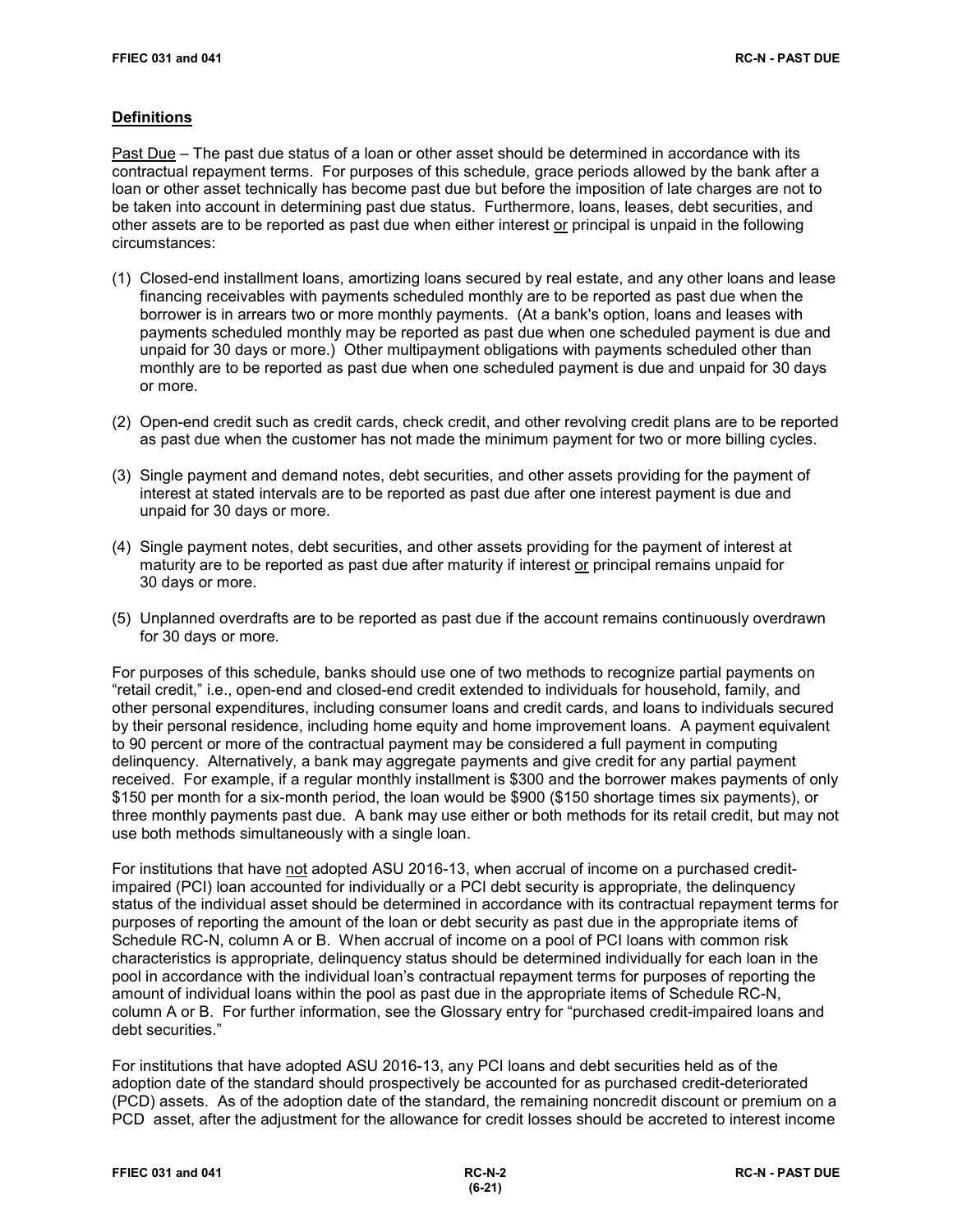# **Definitions**

Past Due – The past due status of a loan or other asset should be determined in accordance with its contractual repayment terms. For purposes of this schedule, grace periods allowed by the bank after a loan or other asset technically has become past due but before the imposition of late charges are not to be taken into account in determining past due status. Furthermore, loans, leases, debt securities, and other assets are to be reported as past due when either interest or principal is unpaid in the following circumstances:

- (1) Closed-end installment loans, amortizing loans secured by real estate, and any other loans and lease financing receivables with payments scheduled monthly are to be reported as past due when the borrower is in arrears two or more monthly payments. (At a bank's option, loans and leases with payments scheduled monthly may be reported as past due when one scheduled payment is due and unpaid for 30 days or more.) Other multipayment obligations with payments scheduled other than monthly are to be reported as past due when one scheduled payment is due and unpaid for 30 days or more.
- (2) Open-end credit such as credit cards, check credit, and other revolving credit plans are to be reported as past due when the customer has not made the minimum payment for two or more billing cycles.
- (3) Single payment and demand notes, debt securities, and other assets providing for the payment of interest at stated intervals are to be reported as past due after one interest payment is due and unpaid for 30 days or more.
- (4) Single payment notes, debt securities, and other assets providing for the payment of interest at maturity are to be reported as past due after maturity if interest or principal remains unpaid for 30 days or more.
- (5) Unplanned overdrafts are to be reported as past due if the account remains continuously overdrawn for 30 days or more.

For purposes of this schedule, banks should use one of two methods to recognize partial payments on "retail credit," i.e., open-end and closed-end credit extended to individuals for household, family, and other personal expenditures, including consumer loans and credit cards, and loans to individuals secured by their personal residence, including home equity and home improvement loans. A payment equivalent to 90 percent or more of the contractual payment may be considered a full payment in computing delinquency. Alternatively, a bank may aggregate payments and give credit for any partial payment received. For example, if a regular monthly installment is \$300 and the borrower makes payments of only \$150 per month for a six-month period, the loan would be \$900 (\$150 shortage times six payments), or three monthly payments past due. A bank may use either or both methods for its retail credit, but may not use both methods simultaneously with a single loan.

For institutions that have not adopted ASU 2016-13, when accrual of income on a purchased creditimpaired (PCI) loan accounted for individually or a PCI debt security is appropriate, the delinquency status of the individual asset should be determined in accordance with its contractual repayment terms for purposes of reporting the amount of the loan or debt security as past due in the appropriate items of Schedule RC-N, column A or B. When accrual of income on a pool of PCI loans with common risk characteristics is appropriate, delinquency status should be determined individually for each loan in the pool in accordance with the individual loan's contractual repayment terms for purposes of reporting the amount of individual loans within the pool as past due in the appropriate items of Schedule RC-N, column A or B. For further information, see the Glossary entry for "purchased credit-impaired loans and debt securities."

For institutions that have adopted ASU 2016-13, any PCI loans and debt securities held as of the adoption date of the standard should prospectively be accounted for as purchased credit-deteriorated (PCD) assets. As of the adoption date of the standard, the remaining noncredit discount or premium on a PCD asset, after the adjustment for the allowance for credit losses should be accreted to interest income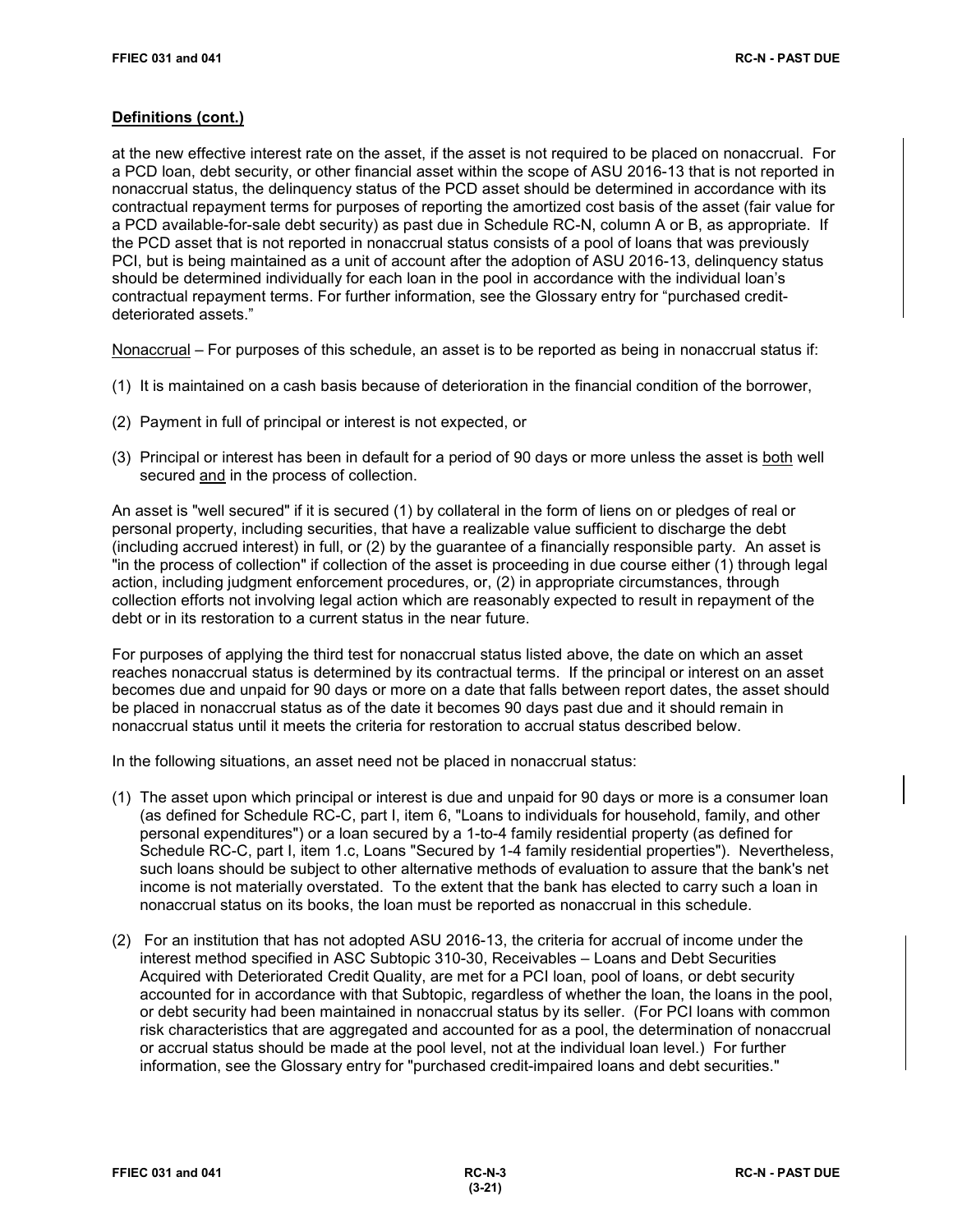# **Definitions (cont.)**

at the new effective interest rate on the asset, if the asset is not required to be placed on nonaccrual. For a PCD loan, debt security, or other financial asset within the scope of ASU 2016-13 that is not reported in nonaccrual status, the delinquency status of the PCD asset should be determined in accordance with its contractual repayment terms for purposes of reporting the amortized cost basis of the asset (fair value for a PCD available-for-sale debt security) as past due in Schedule RC-N, column A or B, as appropriate. If the PCD asset that is not reported in nonaccrual status consists of a pool of loans that was previously PCI, but is being maintained as a unit of account after the adoption of ASU 2016-13, delinquency status should be determined individually for each loan in the pool in accordance with the individual loan's contractual repayment terms. For further information, see the Glossary entry for "purchased creditdeteriorated assets."

Nonaccrual – For purposes of this schedule, an asset is to be reported as being in nonaccrual status if:

- (1) It is maintained on a cash basis because of deterioration in the financial condition of the borrower,
- (2) Payment in full of principal or interest is not expected, or
- (3) Principal or interest has been in default for a period of 90 days or more unless the asset is both well secured and in the process of collection.

An asset is "well secured" if it is secured (1) by collateral in the form of liens on or pledges of real or personal property, including securities, that have a realizable value sufficient to discharge the debt (including accrued interest) in full, or (2) by the guarantee of a financially responsible party. An asset is "in the process of collection" if collection of the asset is proceeding in due course either (1) through legal action, including judgment enforcement procedures, or, (2) in appropriate circumstances, through collection efforts not involving legal action which are reasonably expected to result in repayment of the debt or in its restoration to a current status in the near future.

For purposes of applying the third test for nonaccrual status listed above, the date on which an asset reaches nonaccrual status is determined by its contractual terms. If the principal or interest on an asset becomes due and unpaid for 90 days or more on a date that falls between report dates, the asset should be placed in nonaccrual status as of the date it becomes 90 days past due and it should remain in nonaccrual status until it meets the criteria for restoration to accrual status described below.

In the following situations, an asset need not be placed in nonaccrual status:

- (1) The asset upon which principal or interest is due and unpaid for 90 days or more is a consumer loan (as defined for Schedule RC-C, part I, item 6, "Loans to individuals for household, family, and other personal expenditures") or a loan secured by a 1-to-4 family residential property (as defined for Schedule RC-C, part I, item 1.c, Loans "Secured by 1-4 family residential properties"). Nevertheless, such loans should be subject to other alternative methods of evaluation to assure that the bank's net income is not materially overstated. To the extent that the bank has elected to carry such a loan in nonaccrual status on its books, the loan must be reported as nonaccrual in this schedule.
- (2) For an institution that has not adopted ASU 2016-13, the criteria for accrual of income under the interest method specified in ASC Subtopic 310-30, Receivables – Loans and Debt Securities Acquired with Deteriorated Credit Quality, are met for a PCI loan, pool of loans, or debt security accounted for in accordance with that Subtopic, regardless of whether the loan, the loans in the pool, or debt security had been maintained in nonaccrual status by its seller. (For PCI loans with common risk characteristics that are aggregated and accounted for as a pool, the determination of nonaccrual or accrual status should be made at the pool level, not at the individual loan level.) For further information, see the Glossary entry for "purchased credit-impaired loans and debt securities."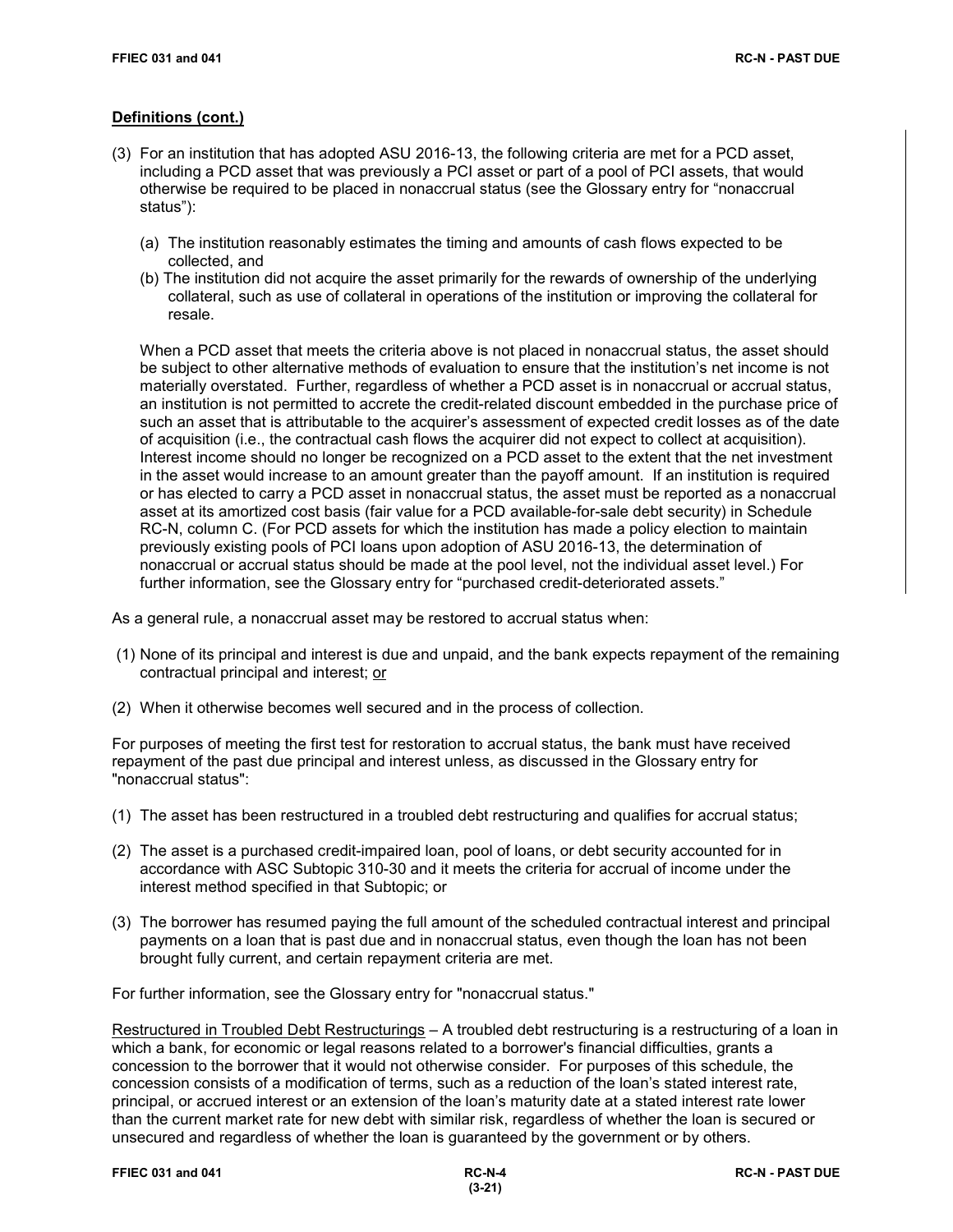# **Definitions (cont.)**

- (3) For an institution that has adopted ASU 2016-13, the following criteria are met for a PCD asset, including a PCD asset that was previously a PCI asset or part of a pool of PCI assets, that would otherwise be required to be placed in nonaccrual status (see the Glossary entry for "nonaccrual status"):
	- (a) The institution reasonably estimates the timing and amounts of cash flows expected to be collected, and
	- (b) The institution did not acquire the asset primarily for the rewards of ownership of the underlying collateral, such as use of collateral in operations of the institution or improving the collateral for resale.

When a PCD asset that meets the criteria above is not placed in nonaccrual status, the asset should be subject to other alternative methods of evaluation to ensure that the institution's net income is not materially overstated. Further, regardless of whether a PCD asset is in nonaccrual or accrual status, an institution is not permitted to accrete the credit-related discount embedded in the purchase price of such an asset that is attributable to the acquirer's assessment of expected credit losses as of the date of acquisition (i.e., the contractual cash flows the acquirer did not expect to collect at acquisition). Interest income should no longer be recognized on a PCD asset to the extent that the net investment in the asset would increase to an amount greater than the payoff amount. If an institution is required or has elected to carry a PCD asset in nonaccrual status, the asset must be reported as a nonaccrual asset at its amortized cost basis (fair value for a PCD available-for-sale debt security) in Schedule RC-N, column C. (For PCD assets for which the institution has made a policy election to maintain previously existing pools of PCI loans upon adoption of ASU 2016-13, the determination of nonaccrual or accrual status should be made at the pool level, not the individual asset level.) For further information, see the Glossary entry for "purchased credit-deteriorated assets."

As a general rule, a nonaccrual asset may be restored to accrual status when:

- (1) None of its principal and interest is due and unpaid, and the bank expects repayment of the remaining contractual principal and interest; or
- (2) When it otherwise becomes well secured and in the process of collection.

For purposes of meeting the first test for restoration to accrual status, the bank must have received repayment of the past due principal and interest unless, as discussed in the Glossary entry for "nonaccrual status":

- (1) The asset has been restructured in a troubled debt restructuring and qualifies for accrual status;
- (2) The asset is a purchased credit-impaired loan, pool of loans, or debt security accounted for in accordance with ASC Subtopic 310-30 and it meets the criteria for accrual of income under the interest method specified in that Subtopic; or
- (3) The borrower has resumed paying the full amount of the scheduled contractual interest and principal payments on a loan that is past due and in nonaccrual status, even though the loan has not been brought fully current, and certain repayment criteria are met.

For further information, see the Glossary entry for "nonaccrual status."

Restructured in Troubled Debt Restructurings – A troubled debt restructuring is a restructuring of a loan in which a bank, for economic or legal reasons related to a borrower's financial difficulties, grants a concession to the borrower that it would not otherwise consider. For purposes of this schedule, the concession consists of a modification of terms, such as a reduction of the loan's stated interest rate, principal, or accrued interest or an extension of the loan's maturity date at a stated interest rate lower than the current market rate for new debt with similar risk, regardless of whether the loan is secured or unsecured and regardless of whether the loan is guaranteed by the government or by others.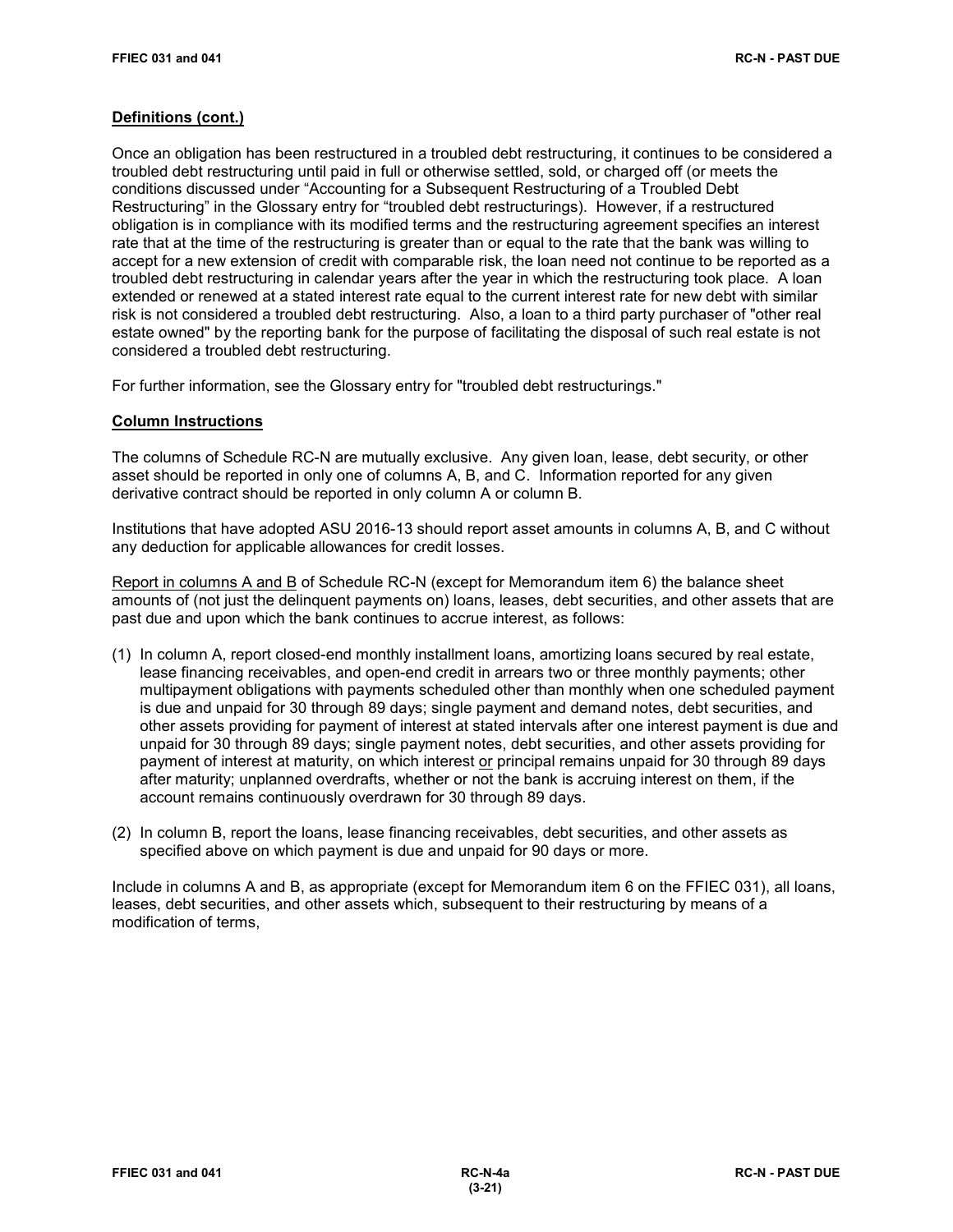# **Definitions (cont.)**

Once an obligation has been restructured in a troubled debt restructuring, it continues to be considered a troubled debt restructuring until paid in full or otherwise settled, sold, or charged off (or meets the conditions discussed under "Accounting for a Subsequent Restructuring of a Troubled Debt Restructuring" in the Glossary entry for "troubled debt restructurings). However, if a restructured obligation is in compliance with its modified terms and the restructuring agreement specifies an interest rate that at the time of the restructuring is greater than or equal to the rate that the bank was willing to accept for a new extension of credit with comparable risk, the loan need not continue to be reported as a troubled debt restructuring in calendar years after the year in which the restructuring took place. A loan extended or renewed at a stated interest rate equal to the current interest rate for new debt with similar risk is not considered a troubled debt restructuring. Also, a loan to a third party purchaser of "other real estate owned" by the reporting bank for the purpose of facilitating the disposal of such real estate is not considered a troubled debt restructuring.

For further information, see the Glossary entry for "troubled debt restructurings."

# **Column Instructions**

The columns of Schedule RC-N are mutually exclusive. Any given loan, lease, debt security, or other asset should be reported in only one of columns A, B, and C. Information reported for any given derivative contract should be reported in only column A or column B.

Institutions that have adopted ASU 2016-13 should report asset amounts in columns A, B, and C without any deduction for applicable allowances for credit losses.

Report in columns A and B of Schedule RC-N (except for Memorandum item 6) the balance sheet amounts of (not just the delinquent payments on) loans, leases, debt securities, and other assets that are past due and upon which the bank continues to accrue interest, as follows:

- (1) In column A, report closed-end monthly installment loans, amortizing loans secured by real estate, lease financing receivables, and open-end credit in arrears two or three monthly payments; other multipayment obligations with payments scheduled other than monthly when one scheduled payment is due and unpaid for 30 through 89 days; single payment and demand notes, debt securities, and other assets providing for payment of interest at stated intervals after one interest payment is due and unpaid for 30 through 89 days; single payment notes, debt securities, and other assets providing for payment of interest at maturity, on which interest or principal remains unpaid for 30 through 89 days after maturity; unplanned overdrafts, whether or not the bank is accruing interest on them, if the account remains continuously overdrawn for 30 through 89 days.
- (2) In column B, report the loans, lease financing receivables, debt securities, and other assets as specified above on which payment is due and unpaid for 90 days or more.

Include in columns A and B, as appropriate (except for Memorandum item 6 on the FFIEC 031), all loans, leases, debt securities, and other assets which, subsequent to their restructuring by means of a modification of terms,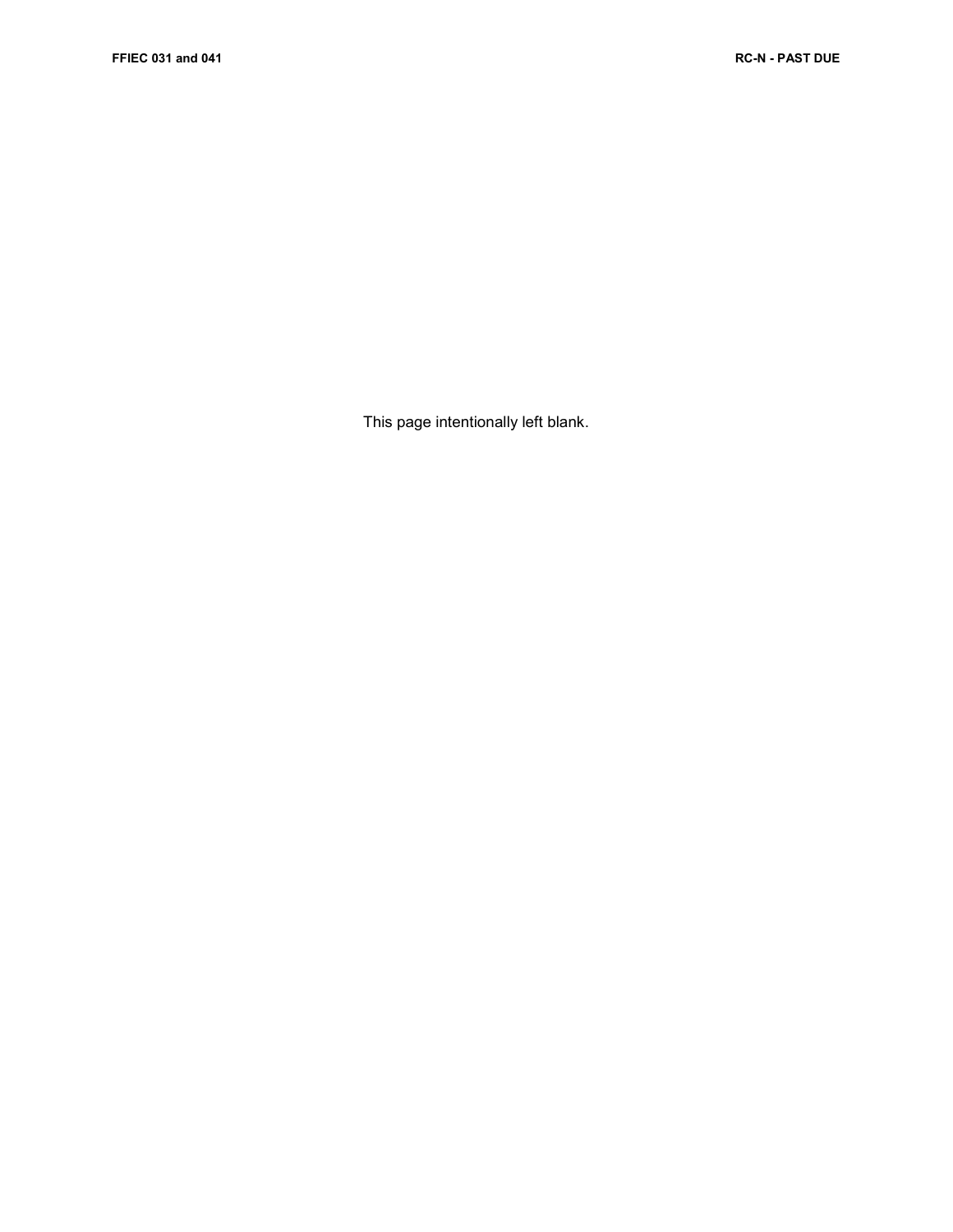This page intentionally left blank.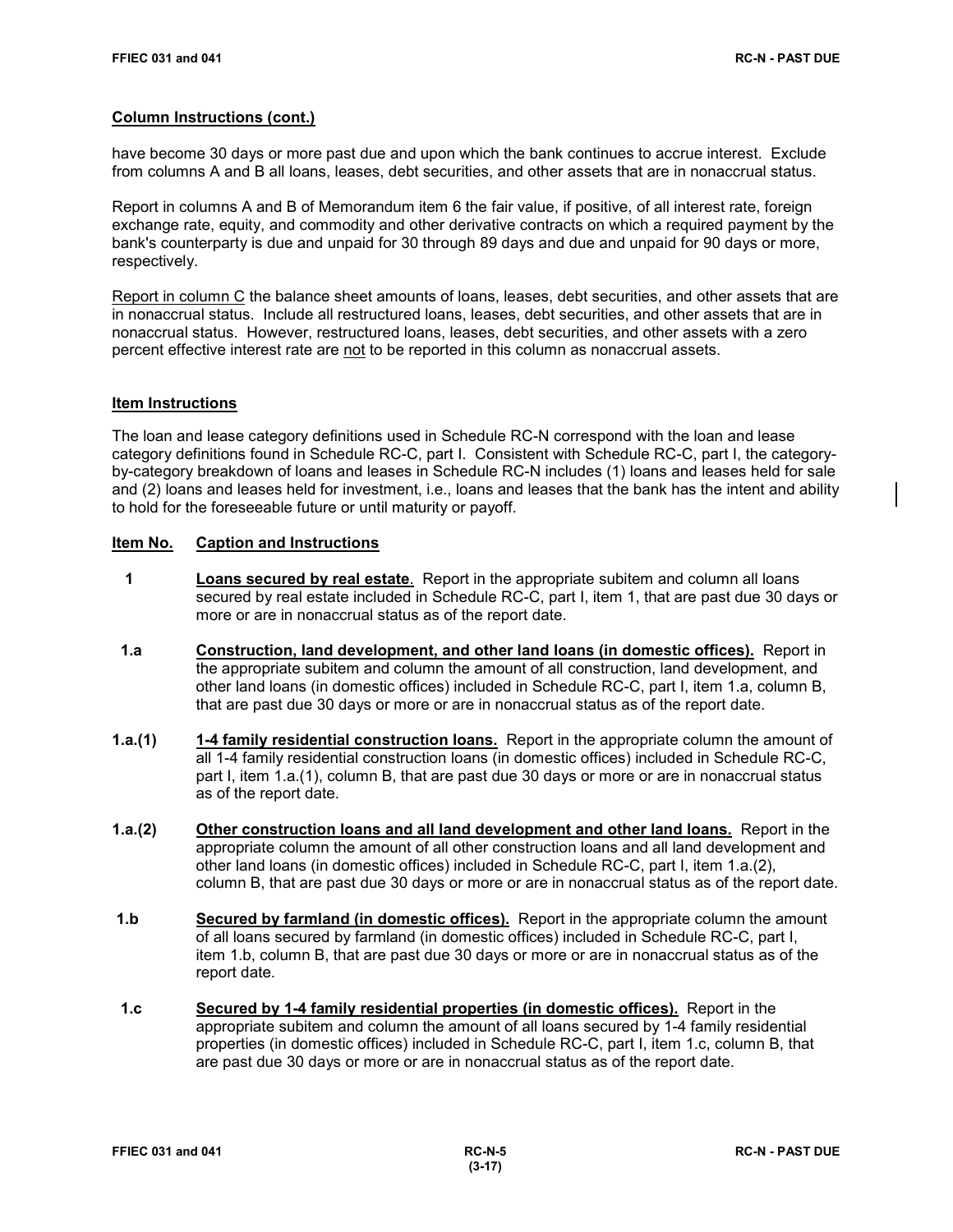# **Column Instructions (cont.)**

have become 30 days or more past due and upon which the bank continues to accrue interest. Exclude from columns A and B all loans, leases, debt securities, and other assets that are in nonaccrual status.

Report in columns A and B of Memorandum item 6 the fair value, if positive, of all interest rate, foreign exchange rate, equity, and commodity and other derivative contracts on which a required payment by the bank's counterparty is due and unpaid for 30 through 89 days and due and unpaid for 90 days or more, respectively.

Report in column C the balance sheet amounts of loans, leases, debt securities, and other assets that are in nonaccrual status. Include all restructured loans, leases, debt securities, and other assets that are in nonaccrual status. However, restructured loans, leases, debt securities, and other assets with a zero percent effective interest rate are not to be reported in this column as nonaccrual assets.

# **Item Instructions**

The loan and lease category definitions used in Schedule RC-N correspond with the loan and lease category definitions found in Schedule RC-C, part I. Consistent with Schedule RC-C, part I, the categoryby-category breakdown of loans and leases in Schedule RC-N includes (1) loans and leases held for sale and (2) loans and leases held for investment, i.e., loans and leases that the bank has the intent and ability to hold for the foreseeable future or until maturity or payoff.

# **Item No. Caption and Instructions**

- **1 Loans secured by real estate**. Report in the appropriate subitem and column all loans secured by real estate included in Schedule RC-C, part I, item 1, that are past due 30 days or more or are in nonaccrual status as of the report date.
- **1.a Construction, land development, and other land loans (in domestic offices).** Report in the appropriate subitem and column the amount of all construction, land development, and other land loans (in domestic offices) included in Schedule RC-C, part I, item 1.a, column B, that are past due 30 days or more or are in nonaccrual status as of the report date.
- **1.a.(1) 1-4 family residential construction loans.** Report in the appropriate column the amount of all 1-4 family residential construction loans (in domestic offices) included in Schedule RC-C, part I, item 1.a.(1), column B, that are past due 30 days or more or are in nonaccrual status as of the report date.
- **1.a.(2) Other construction loans and all land development and other land loans.** Report in the appropriate column the amount of all other construction loans and all land development and other land loans (in domestic offices) included in Schedule RC-C, part I, item 1.a.(2), column B, that are past due 30 days or more or are in nonaccrual status as of the report date.
- **1.b Secured by farmland (in domestic offices).** Report in the appropriate column the amount of all loans secured by farmland (in domestic offices) included in Schedule RC-C, part I, item 1.b, column B, that are past due 30 days or more or are in nonaccrual status as of the report date.
- **1.c Secured by 1-4 family residential properties (in domestic offices).** Report in the appropriate subitem and column the amount of all loans secured by 1-4 family residential properties (in domestic offices) included in Schedule RC-C, part I, item 1.c, column B, that are past due 30 days or more or are in nonaccrual status as of the report date.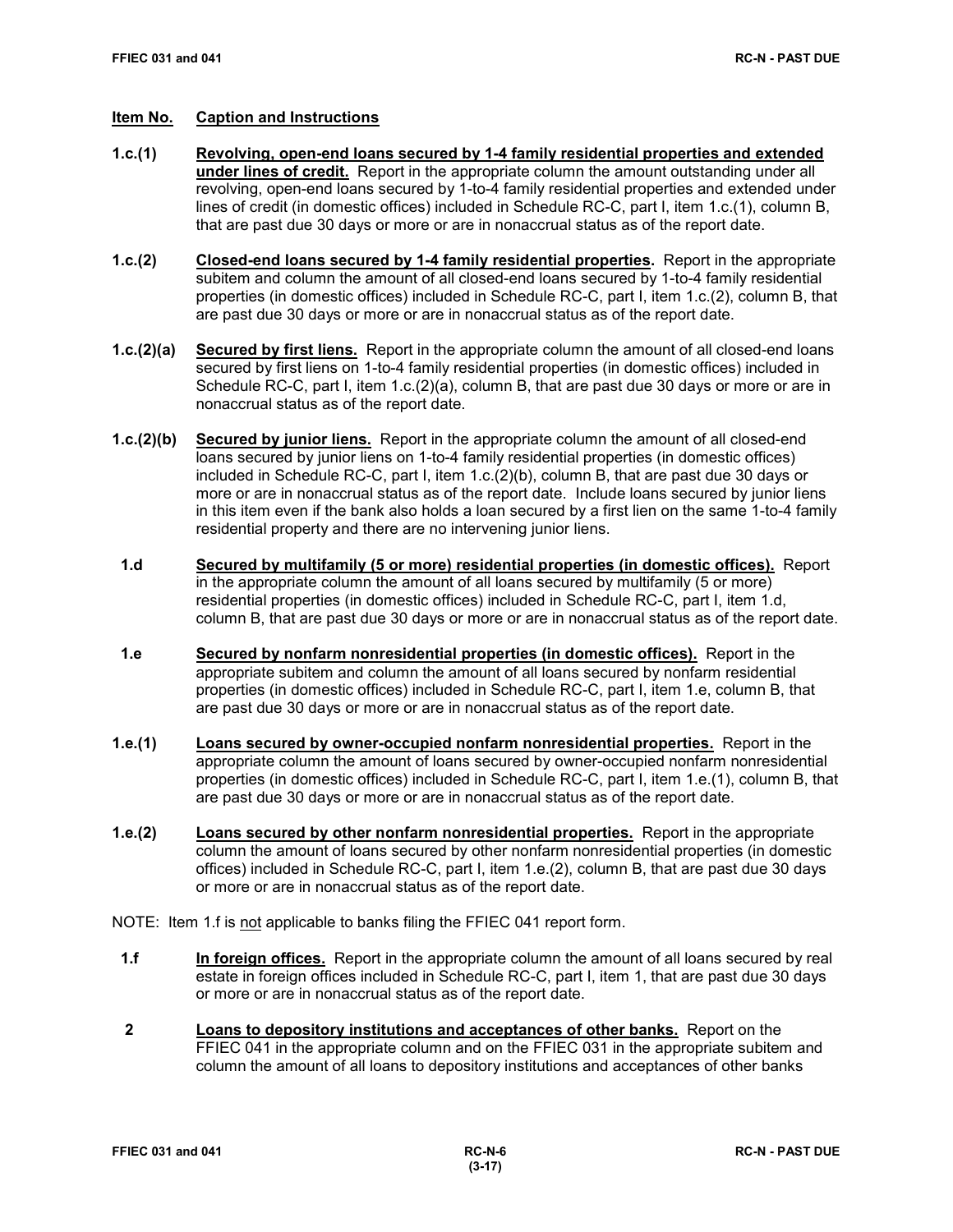- **1.c.(1) Revolving, open-end loans secured by 1-4 family residential properties and extended under lines of credit.** Report in the appropriate column the amount outstanding under all revolving, open-end loans secured by 1-to-4 family residential properties and extended under lines of credit (in domestic offices) included in Schedule RC-C, part I, item 1.c.(1), column B, that are past due 30 days or more or are in nonaccrual status as of the report date.
- **1.c.(2) Closed-end loans secured by 1-4 family residential properties.** Report in the appropriate subitem and column the amount of all closed-end loans secured by 1-to-4 family residential properties (in domestic offices) included in Schedule RC-C, part I, item 1.c.(2), column B, that are past due 30 days or more or are in nonaccrual status as of the report date.
- **1.c.(2)(a) Secured by first liens.** Report in the appropriate column the amount of all closed-end loans secured by first liens on 1-to-4 family residential properties (in domestic offices) included in Schedule RC-C, part I, item 1.c.(2)(a), column B, that are past due 30 days or more or are in nonaccrual status as of the report date.
- **1.c.(2)(b) Secured by junior liens.** Report in the appropriate column the amount of all closed-end loans secured by junior liens on 1-to-4 family residential properties (in domestic offices) included in Schedule RC-C, part I, item  $1.c.(2)(b)$ , column B, that are past due 30 days or more or are in nonaccrual status as of the report date. Include loans secured by junior liens in this item even if the bank also holds a loan secured by a first lien on the same 1-to-4 family residential property and there are no intervening junior liens.
- **1.d Secured by multifamily (5 or more) residential properties (in domestic offices).** Report in the appropriate column the amount of all loans secured by multifamily (5 or more) residential properties (in domestic offices) included in Schedule RC-C, part I, item 1.d, column B, that are past due 30 days or more or are in nonaccrual status as of the report date.
- **1.e Secured by nonfarm nonresidential properties (in domestic offices).** Report in the appropriate subitem and column the amount of all loans secured by nonfarm residential properties (in domestic offices) included in Schedule RC-C, part I, item 1.e, column B, that are past due 30 days or more or are in nonaccrual status as of the report date.
- **1.e.(1) Loans secured by owner-occupied nonfarm nonresidential properties.** Report in the appropriate column the amount of loans secured by owner-occupied nonfarm nonresidential properties (in domestic offices) included in Schedule RC-C, part I, item 1.e.(1), column B, that are past due 30 days or more or are in nonaccrual status as of the report date.
- **1.e.(2) Loans secured by other nonfarm nonresidential properties.** Report in the appropriate column the amount of loans secured by other nonfarm nonresidential properties (in domestic offices) included in Schedule RC-C, part I, item 1.e.(2), column B, that are past due 30 days or more or are in nonaccrual status as of the report date.
- NOTE: Item 1.f is not applicable to banks filing the FFIEC 041 report form.
- **1.f In foreign offices.** Report in the appropriate column the amount of all loans secured by real estate in foreign offices included in Schedule RC-C, part I, item 1, that are past due 30 days or more or are in nonaccrual status as of the report date.
- **2 Loans to depository institutions and acceptances of other banks.** Report on the FFIEC 041 in the appropriate column and on the FFIEC 031 in the appropriate subitem and column the amount of all loans to depository institutions and acceptances of other banks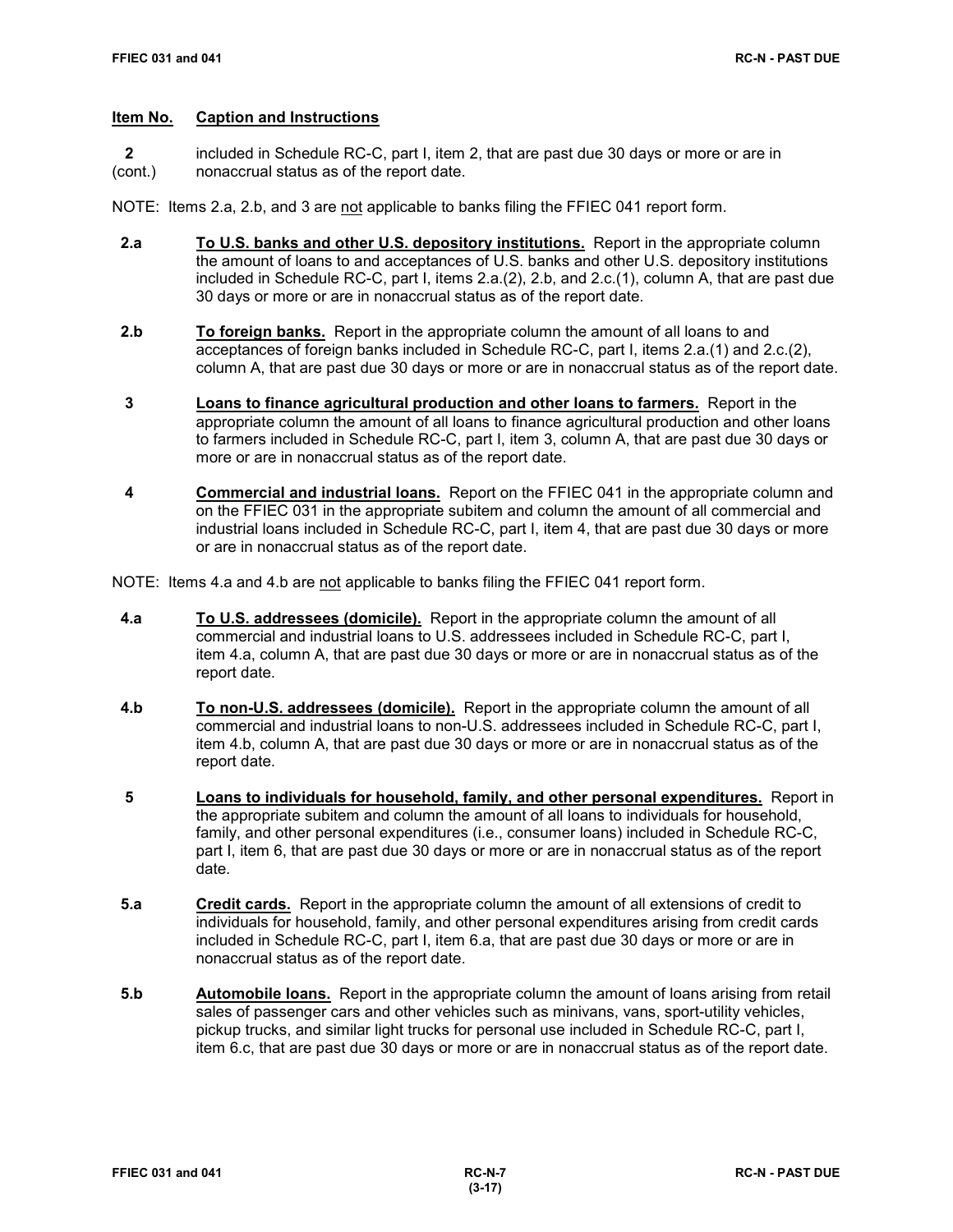**2** included in Schedule RC-C, part I, item 2, that are past due 30 days or more or are in (cont.) nonaccrual status as of the report date.

NOTE: Items 2.a, 2.b, and 3 are not applicable to banks filing the FFIEC 041 report form.

- **2.a To U.S. banks and other U.S. depository institutions.** Report in the appropriate column the amount of loans to and acceptances of U.S. banks and other U.S. depository institutions included in Schedule RC-C, part I, items 2.a.(2), 2.b, and 2.c.(1), column A, that are past due 30 days or more or are in nonaccrual status as of the report date.
- **2.b To foreign banks.** Report in the appropriate column the amount of all loans to and acceptances of foreign banks included in Schedule RC-C, part I, items 2.a.(1) and 2.c.(2), column A, that are past due 30 days or more or are in nonaccrual status as of the report date.
- **3 Loans to finance agricultural production and other loans to farmers.** Report in the appropriate column the amount of all loans to finance agricultural production and other loans to farmers included in Schedule RC-C, part I, item 3, column A, that are past due 30 days or more or are in nonaccrual status as of the report date.
- **4 Commercial and industrial loans.** Report on the FFIEC 041 in the appropriate column and on the FFIEC 031 in the appropriate subitem and column the amount of all commercial and industrial loans included in Schedule RC-C, part I, item 4, that are past due 30 days or more or are in nonaccrual status as of the report date.

NOTE: Items 4.a and 4.b are not applicable to banks filing the FFIEC 041 report form.

- **4.a To U.S. addressees (domicile).** Report in the appropriate column the amount of all commercial and industrial loans to U.S. addressees included in Schedule RC-C, part I, item 4.a, column A, that are past due 30 days or more or are in nonaccrual status as of the report date.
- **4.b To non-U.S. addressees (domicile).** Report in the appropriate column the amount of all commercial and industrial loans to non-U.S. addressees included in Schedule RC-C, part I, item 4.b, column A, that are past due 30 days or more or are in nonaccrual status as of the report date.
- **5 Loans to individuals for household, family, and other personal expenditures.** Report in the appropriate subitem and column the amount of all loans to individuals for household, family, and other personal expenditures (i.e., consumer loans) included in Schedule RC-C, part I, item 6, that are past due 30 days or more or are in nonaccrual status as of the report date.
- **5.a Credit cards.** Report in the appropriate column the amount of all extensions of credit to individuals for household, family, and other personal expenditures arising from credit cards included in Schedule RC-C, part I, item 6.a, that are past due 30 days or more or are in nonaccrual status as of the report date.
- **5.b Automobile loans.** Report in the appropriate column the amount of loans arising from retail sales of passenger cars and other vehicles such as minivans, vans, sport-utility vehicles, pickup trucks, and similar light trucks for personal use included in Schedule RC-C, part I, item 6.c, that are past due 30 days or more or are in nonaccrual status as of the report date.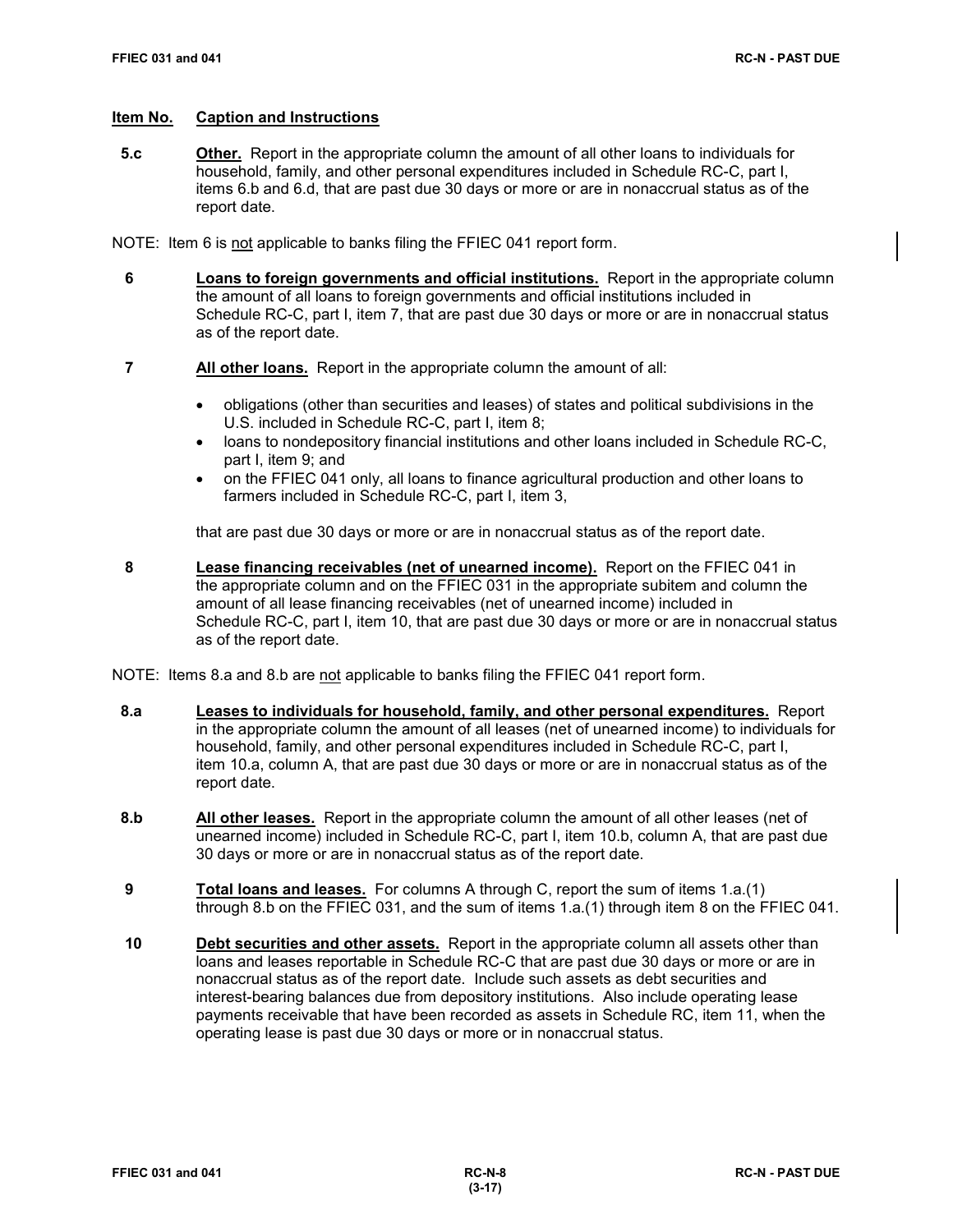**5.c Other.** Report in the appropriate column the amount of all other loans to individuals for household, family, and other personal expenditures included in Schedule RC-C, part I, items 6.b and 6.d, that are past due 30 days or more or are in nonaccrual status as of the report date.

NOTE: Item 6 is not applicable to banks filing the FFIEC 041 report form.

- **6 Loans to foreign governments and official institutions.** Report in the appropriate column the amount of all loans to foreign governments and official institutions included in Schedule RC-C, part I, item 7, that are past due 30 days or more or are in nonaccrual status as of the report date.
- **7 All other loans.** Report in the appropriate column the amount of all:
	- obligations (other than securities and leases) of states and political subdivisions in the U.S. included in Schedule RC-C, part I, item 8;
	- loans to nondepository financial institutions and other loans included in Schedule RC-C, part I, item 9; and
	- on the FFIEC 041 only, all loans to finance agricultural production and other loans to farmers included in Schedule RC-C, part I, item 3,

that are past due 30 days or more or are in nonaccrual status as of the report date.

 **8 Lease financing receivables (net of unearned income).** Report on the FFIEC 041 in the appropriate column and on the FFIEC 031 in the appropriate subitem and column the amount of all lease financing receivables (net of unearned income) included in Schedule RC-C, part I, item 10, that are past due 30 days or more or are in nonaccrual status as of the report date.

NOTE: Items 8.a and 8.b are not applicable to banks filing the FFIEC 041 report form.

- **8.a Leases to individuals for household, family, and other personal expenditures.** Report in the appropriate column the amount of all leases (net of unearned income) to individuals for household, family, and other personal expenditures included in Schedule RC-C, part I, item 10.a, column A, that are past due 30 days or more or are in nonaccrual status as of the report date.
- **8.b All other leases.** Report in the appropriate column the amount of all other leases (net of unearned income) included in Schedule RC-C, part I, item 10.b, column A, that are past due 30 days or more or are in nonaccrual status as of the report date.
- **9 Total loans and leases.** For columns A through C, report the sum of items 1.a.(1) through 8.b on the FFIEC 031, and the sum of items 1.a.(1) through item 8 on the FFIEC 041.
- **10 Debt securities and other assets.** Report in the appropriate column all assets other than loans and leases reportable in Schedule RC-C that are past due 30 days or more or are in nonaccrual status as of the report date. Include such assets as debt securities and interest-bearing balances due from depository institutions. Also include operating lease payments receivable that have been recorded as assets in Schedule RC, item 11, when the operating lease is past due 30 days or more or in nonaccrual status.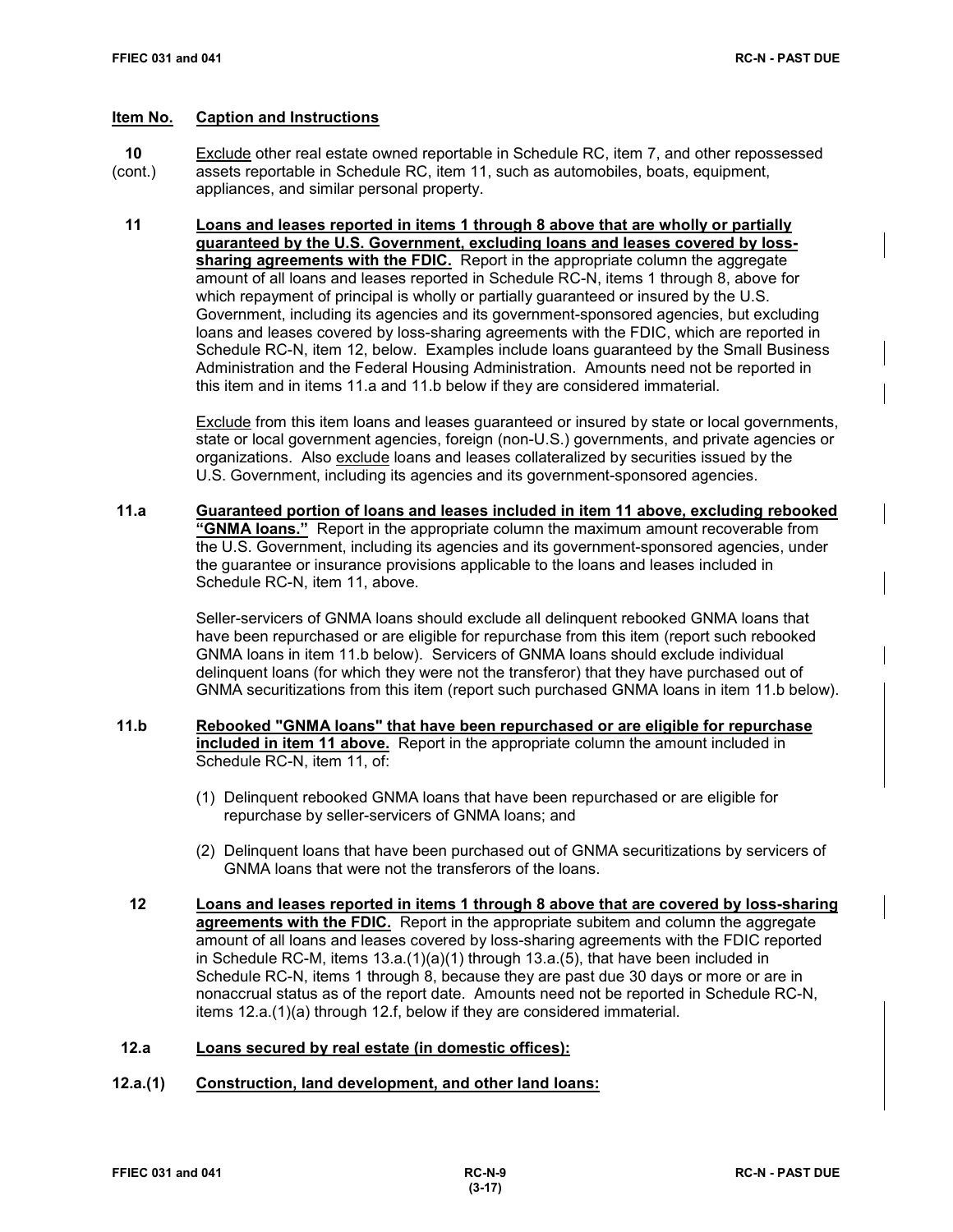- **10** Exclude other real estate owned reportable in Schedule RC, item 7, and other repossessed (cont.) assets reportable in Schedule RC, item 11, such as automobiles, boats, equipment,
	- appliances, and similar personal property.
	- **11 Loans and leases reported in items 1 through 8 above that are wholly or partially guaranteed by the U.S. Government, excluding loans and leases covered by losssharing agreements with the FDIC.** Report in the appropriate column the aggregate amount of all loans and leases reported in Schedule RC-N, items 1 through 8, above for which repayment of principal is wholly or partially guaranteed or insured by the U.S. Government, including its agencies and its government-sponsored agencies, but excluding loans and leases covered by loss-sharing agreements with the FDIC, which are reported in Schedule RC-N, item 12, below. Examples include loans guaranteed by the Small Business Administration and the Federal Housing Administration. Amounts need not be reported in this item and in items 11.a and 11.b below if they are considered immaterial.

Exclude from this item loans and leases guaranteed or insured by state or local governments, state or local government agencies, foreign (non-U.S.) governments, and private agencies or organizations. Also exclude loans and leases collateralized by securities issued by the U.S. Government, including its agencies and its government-sponsored agencies.

**11.a Guaranteed portion of loans and leases included in item 11 above, excluding rebooked "GNMA loans."** Report in the appropriate column the maximum amount recoverable from the U.S. Government, including its agencies and its government-sponsored agencies, under the guarantee or insurance provisions applicable to the loans and leases included in Schedule RC-N, item 11, above.

> Seller-servicers of GNMA loans should exclude all delinquent rebooked GNMA loans that have been repurchased or are eligible for repurchase from this item (report such rebooked GNMA loans in item 11.b below). Servicers of GNMA loans should exclude individual delinquent loans (for which they were not the transferor) that they have purchased out of GNMA securitizations from this item (report such purchased GNMA loans in item 11.b below).

- **11.b Rebooked "GNMA loans" that have been repurchased or are eligible for repurchase included in item 11 above.** Report in the appropriate column the amount included in Schedule RC-N, item 11, of:
	- (1) Delinquent rebooked GNMA loans that have been repurchased or are eligible for repurchase by seller-servicers of GNMA loans; and
	- (2) Delinquent loans that have been purchased out of GNMA securitizations by servicers of GNMA loans that were not the transferors of the loans.
	- **12 Loans and leases reported in items 1 through 8 above that are covered by loss-sharing agreements with the FDIC.** Report in the appropriate subitem and column the aggregate amount of all loans and leases covered by loss-sharing agreements with the FDIC reported in Schedule RC-M, items 13.a.(1)(a)(1) through 13.a.(5), that have been included in Schedule RC-N, items 1 through 8, because they are past due 30 days or more or are in nonaccrual status as of the report date. Amounts need not be reported in Schedule RC-N, items 12.a.(1)(a) through 12.f, below if they are considered immaterial.
- **12.a Loans secured by real estate (in domestic offices):**
- **12.a.(1) Construction, land development, and other land loans:**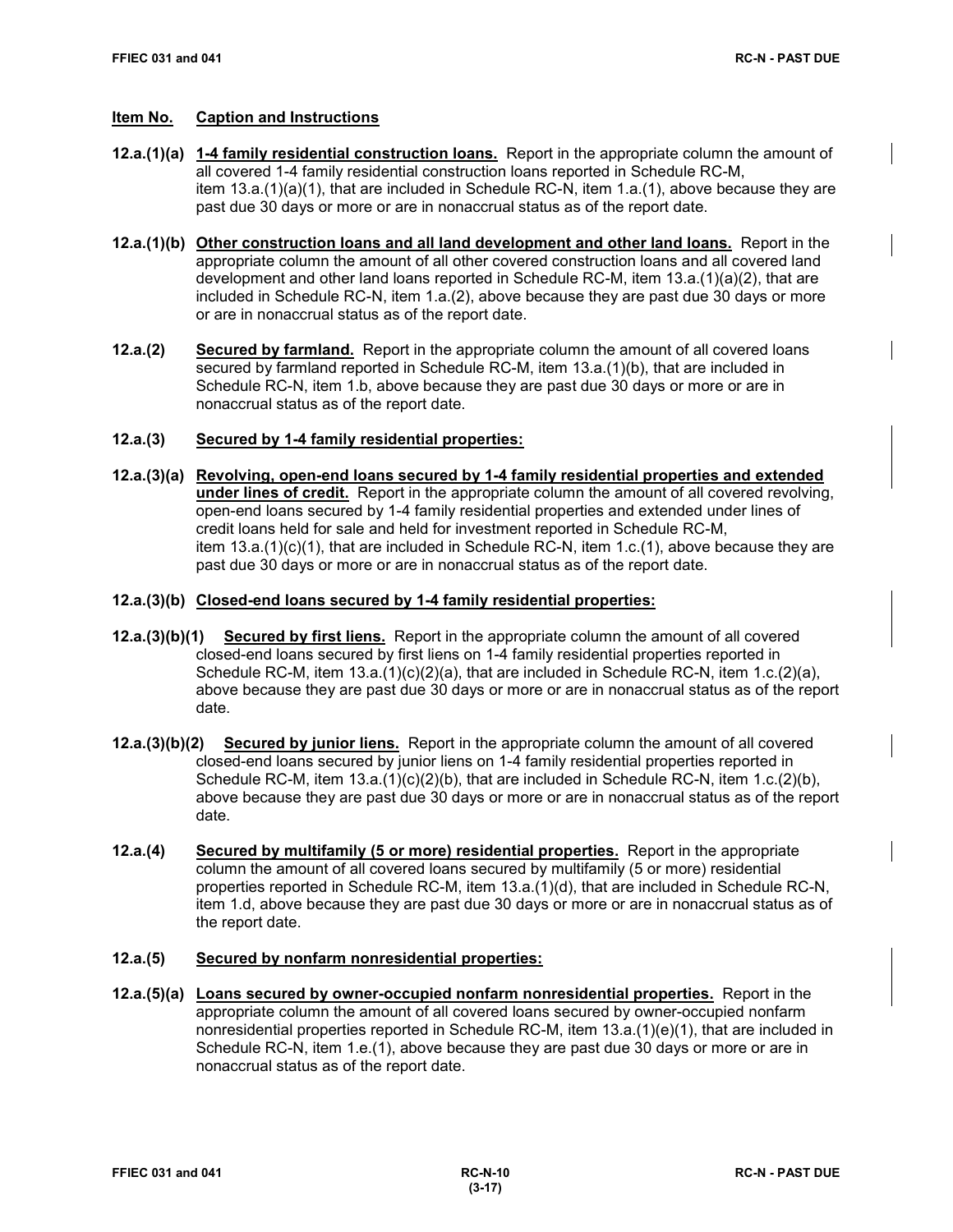- **12.a.(1)(a) 1-4 family residential construction loans.** Report in the appropriate column the amount of all covered 1-4 family residential construction loans reported in Schedule RC-M, item 13.a.(1)(a)(1), that are included in Schedule RC-N, item 1.a.(1), above because they are past due 30 days or more or are in nonaccrual status as of the report date.
- **12.a.(1)(b) Other construction loans and all land development and other land loans.** Report in the appropriate column the amount of all other covered construction loans and all covered land development and other land loans reported in Schedule RC-M, item 13.a.(1)(a)(2), that are included in Schedule RC-N, item 1.a.(2), above because they are past due 30 days or more or are in nonaccrual status as of the report date.
- **12.a.(2) Secured by farmland.** Report in the appropriate column the amount of all covered loans secured by farmland reported in Schedule RC-M, item 13.a.(1)(b), that are included in Schedule RC-N, item 1.b, above because they are past due 30 days or more or are in nonaccrual status as of the report date.

# **12.a.(3) Secured by 1-4 family residential properties:**

- **12.a.(3)(a) Revolving, open-end loans secured by 1-4 family residential properties and extended under lines of credit.** Report in the appropriate column the amount of all covered revolving, open-end loans secured by 1-4 family residential properties and extended under lines of credit loans held for sale and held for investment reported in Schedule RC-M, item 13.a.(1)(c)(1), that are included in Schedule RC-N, item 1.c.(1), above because they are past due 30 days or more or are in nonaccrual status as of the report date.
- **12.a.(3)(b) Closed-end loans secured by 1-4 family residential properties:**
- **12.a.(3)(b)(1) Secured by first liens.** Report in the appropriate column the amount of all covered closed-end loans secured by first liens on 1-4 family residential properties reported in Schedule RC-M, item  $13.a.(1)(c)(2)(a)$ , that are included in Schedule RC-N, item  $1.c.(2)(a)$ , above because they are past due 30 days or more or are in nonaccrual status as of the report date.
- **12.a.(3)(b)(2) Secured by junior liens.** Report in the appropriate column the amount of all covered closed-end loans secured by junior liens on 1-4 family residential properties reported in Schedule RC-M, item  $13.a.(1)(c)(2)(b)$ , that are included in Schedule RC-N, item  $1.c.(2)(b)$ , above because they are past due 30 days or more or are in nonaccrual status as of the report date.
- **12.a.(4) Secured by multifamily (5 or more) residential properties.** Report in the appropriate column the amount of all covered loans secured by multifamily (5 or more) residential properties reported in Schedule RC-M, item 13.a.(1)(d), that are included in Schedule RC-N, item 1.d, above because they are past due 30 days or more or are in nonaccrual status as of the report date.

# **12.a.(5) Secured by nonfarm nonresidential properties:**

**12.a.(5)(a) Loans secured by owner-occupied nonfarm nonresidential properties.** Report in the appropriate column the amount of all covered loans secured by owner-occupied nonfarm nonresidential properties reported in Schedule RC-M, item 13.a.(1)(e)(1), that are included in Schedule RC-N, item 1.e.(1), above because they are past due 30 days or more or are in nonaccrual status as of the report date.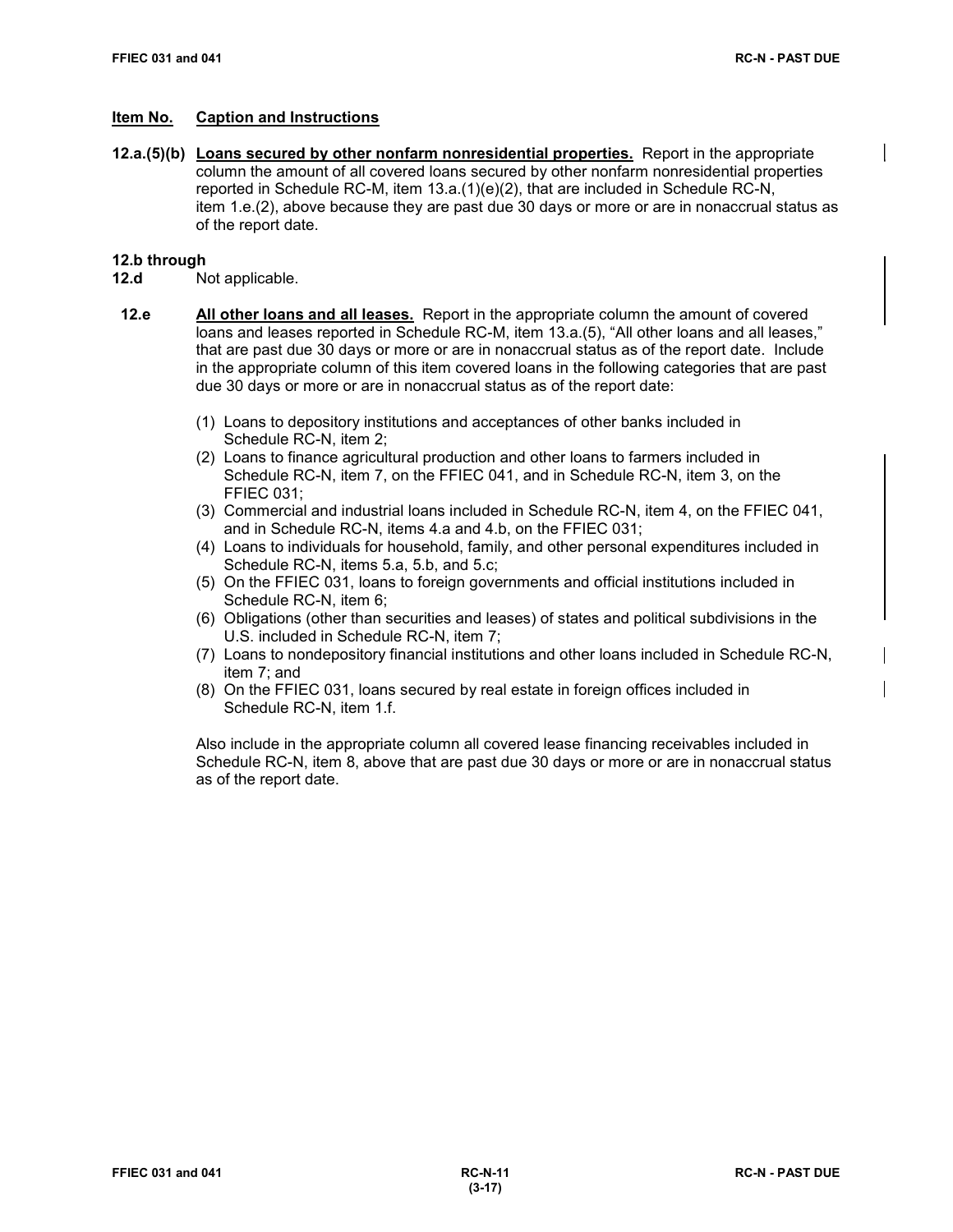**12.a.(5)(b) Loans secured by other nonfarm nonresidential properties.** Report in the appropriate column the amount of all covered loans secured by other nonfarm nonresidential properties reported in Schedule RC-M, item 13.a.(1)(e)(2), that are included in Schedule RC-N, item 1.e.(2), above because they are past due 30 days or more or are in nonaccrual status as of the report date.

#### **12.b through**

- **12.d** Not applicable.
- **12.e All other loans and all leases.** Report in the appropriate column the amount of covered loans and leases reported in Schedule RC-M, item 13.a.(5), "All other loans and all leases," that are past due 30 days or more or are in nonaccrual status as of the report date. Include in the appropriate column of this item covered loans in the following categories that are past due 30 days or more or are in nonaccrual status as of the report date:
	- (1) Loans to depository institutions and acceptances of other banks included in Schedule RC-N, item 2;
	- (2) Loans to finance agricultural production and other loans to farmers included in Schedule RC-N, item 7, on the FFIEC 041, and in Schedule RC-N, item 3, on the FFIEC 031;
	- (3) Commercial and industrial loans included in Schedule RC-N, item 4, on the FFIEC 041, and in Schedule RC-N, items 4.a and 4.b, on the FFIEC 031;
	- (4) Loans to individuals for household, family, and other personal expenditures included in Schedule RC-N, items 5.a, 5.b, and 5.c;
	- (5) On the FFIEC 031, loans to foreign governments and official institutions included in Schedule RC-N, item 6;
	- (6) Obligations (other than securities and leases) of states and political subdivisions in the U.S. included in Schedule RC-N, item 7;
	- (7) Loans to nondepository financial institutions and other loans included in Schedule RC-N, item 7; and
	- (8) On the FFIEC 031, loans secured by real estate in foreign offices included in Schedule RC-N, item 1.f.

Also include in the appropriate column all covered lease financing receivables included in Schedule RC-N, item 8, above that are past due 30 days or more or are in nonaccrual status as of the report date.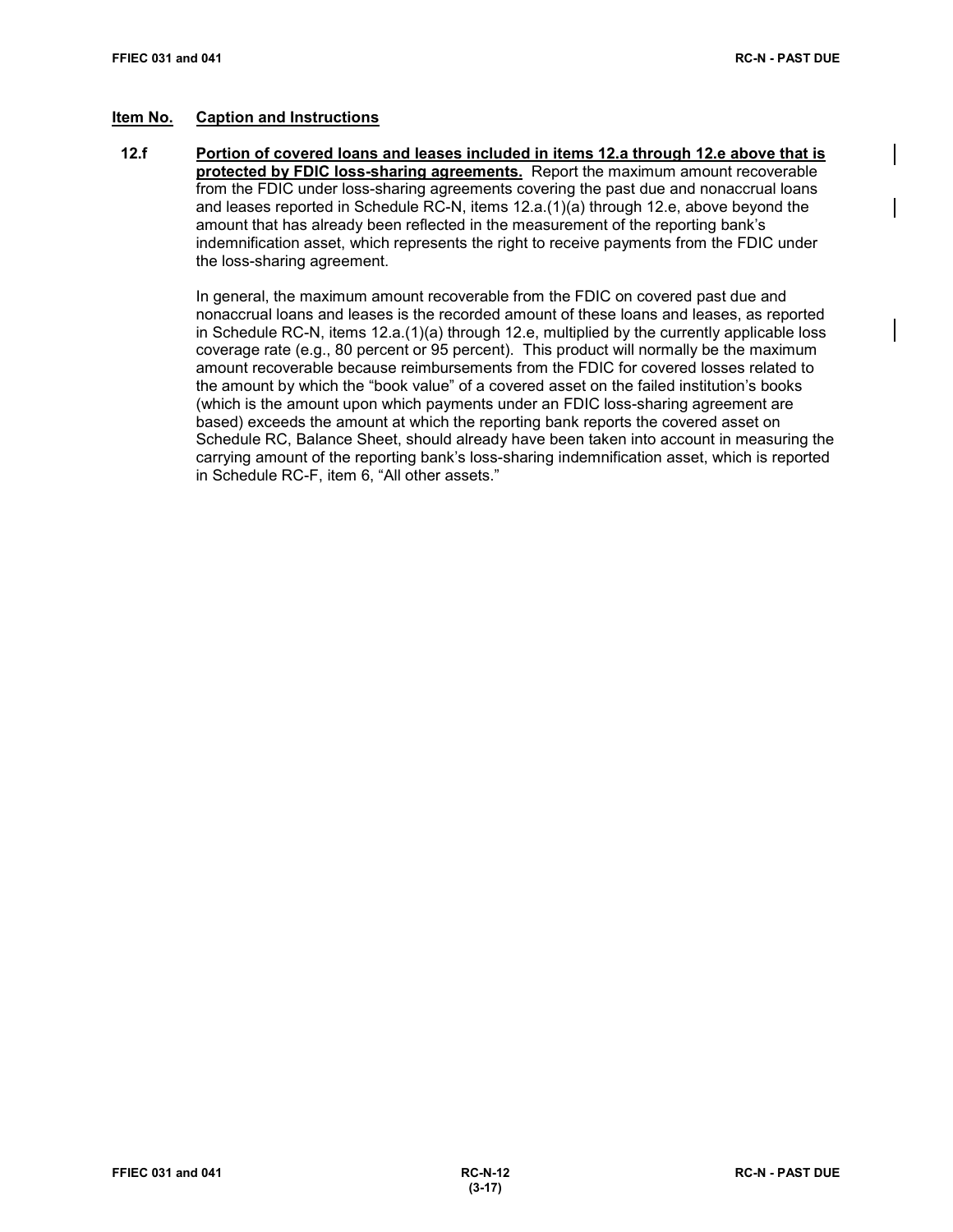**12.f Portion of covered loans and leases included in items 12.a through 12.e above that is protected by FDIC loss-sharing agreements.** Report the maximum amount recoverable from the FDIC under loss-sharing agreements covering the past due and nonaccrual loans and leases reported in Schedule RC-N, items 12.a.(1)(a) through 12.e, above beyond the amount that has already been reflected in the measurement of the reporting bank's indemnification asset, which represents the right to receive payments from the FDIC under the loss-sharing agreement.

> In general, the maximum amount recoverable from the FDIC on covered past due and nonaccrual loans and leases is the recorded amount of these loans and leases, as reported in Schedule RC-N, items 12.a.(1)(a) through 12.e, multiplied by the currently applicable loss coverage rate (e.g., 80 percent or 95 percent). This product will normally be the maximum amount recoverable because reimbursements from the FDIC for covered losses related to the amount by which the "book value" of a covered asset on the failed institution's books (which is the amount upon which payments under an FDIC loss-sharing agreement are based) exceeds the amount at which the reporting bank reports the covered asset on Schedule RC, Balance Sheet, should already have been taken into account in measuring the carrying amount of the reporting bank's loss-sharing indemnification asset, which is reported in Schedule RC-F, item 6, "All other assets."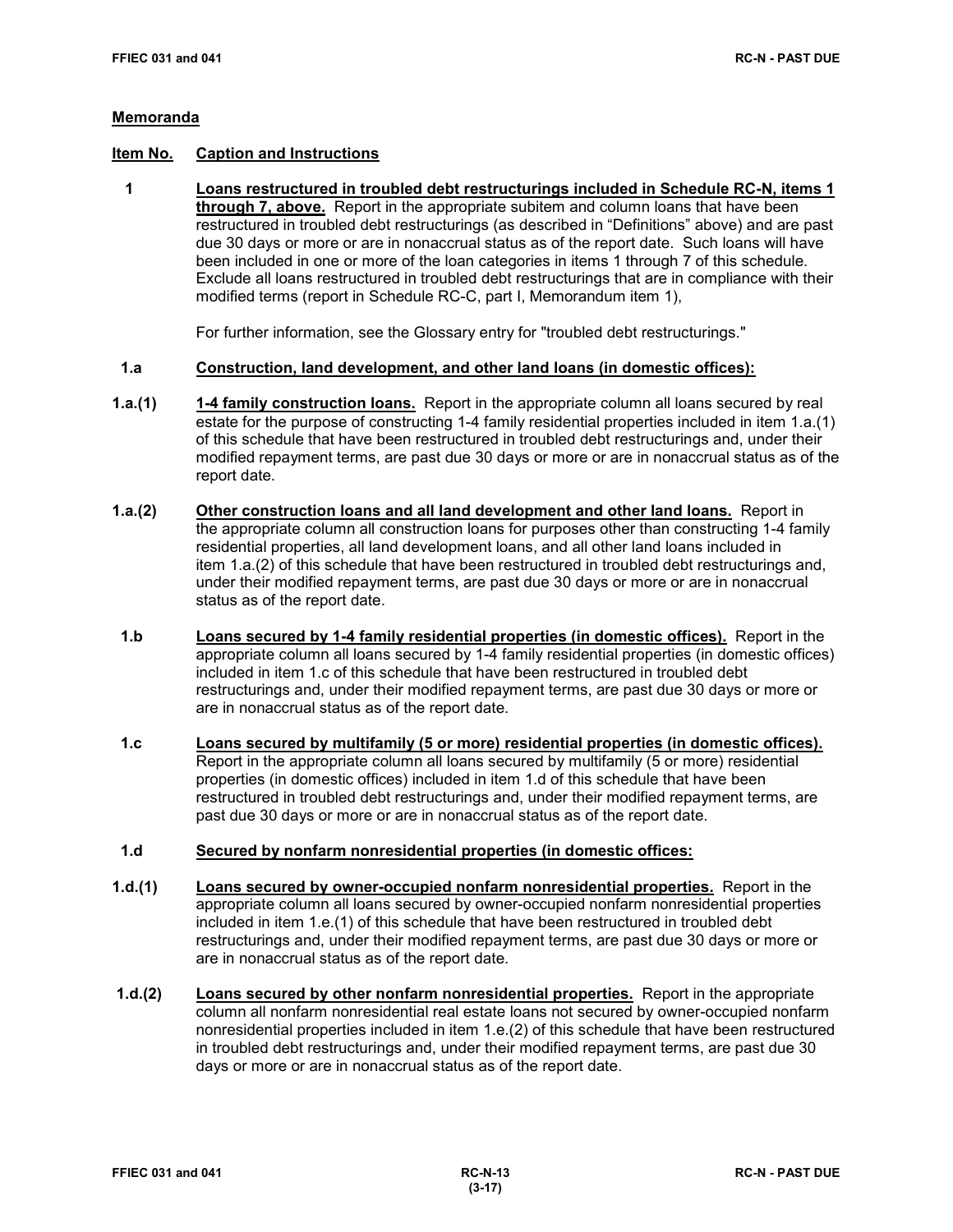# **Item No. Caption and Instructions**

 **1 Loans restructured in troubled debt restructurings included in Schedule RC-N, items 1 through 7, above.** Report in the appropriate subitem and column loans that have been restructured in troubled debt restructurings (as described in "Definitions" above) and are past due 30 days or more or are in nonaccrual status as of the report date. Such loans will have been included in one or more of the loan categories in items 1 through 7 of this schedule. Exclude all loans restructured in troubled debt restructurings that are in compliance with their modified terms (report in Schedule RC-C, part I, Memorandum item 1),

For further information, see the Glossary entry for "troubled debt restructurings."

# **1.a Construction, land development, and other land loans (in domestic offices):**

- **1.a.(1) 1-4 family construction loans.** Report in the appropriate column all loans secured by real estate for the purpose of constructing 1-4 family residential properties included in item 1.a.(1) of this schedule that have been restructured in troubled debt restructurings and, under their modified repayment terms, are past due 30 days or more or are in nonaccrual status as of the report date.
- **1.a.(2) Other construction loans and all land development and other land loans.** Report in the appropriate column all construction loans for purposes other than constructing 1-4 family residential properties, all land development loans, and all other land loans included in item 1.a.(2) of this schedule that have been restructured in troubled debt restructurings and, under their modified repayment terms, are past due 30 days or more or are in nonaccrual status as of the report date.
- **1.b Loans secured by 1-4 family residential properties (in domestic offices).** Report in the appropriate column all loans secured by 1-4 family residential properties (in domestic offices) included in item 1.c of this schedule that have been restructured in troubled debt restructurings and, under their modified repayment terms, are past due 30 days or more or are in nonaccrual status as of the report date.
- **1.c Loans secured by multifamily (5 or more) residential properties (in domestic offices).** Report in the appropriate column all loans secured by multifamily (5 or more) residential properties (in domestic offices) included in item 1.d of this schedule that have been restructured in troubled debt restructurings and, under their modified repayment terms, are past due 30 days or more or are in nonaccrual status as of the report date.

# **1.d Secured by nonfarm nonresidential properties (in domestic offices:**

- **1.d.(1) Loans secured by owner-occupied nonfarm nonresidential properties.** Report in the appropriate column all loans secured by owner-occupied nonfarm nonresidential properties included in item 1.e.(1) of this schedule that have been restructured in troubled debt restructurings and, under their modified repayment terms, are past due 30 days or more or are in nonaccrual status as of the report date.
- **1.d.(2) Loans secured by other nonfarm nonresidential properties.** Report in the appropriate column all nonfarm nonresidential real estate loans not secured by owner-occupied nonfarm nonresidential properties included in item 1.e.(2) of this schedule that have been restructured in troubled debt restructurings and, under their modified repayment terms, are past due 30 days or more or are in nonaccrual status as of the report date.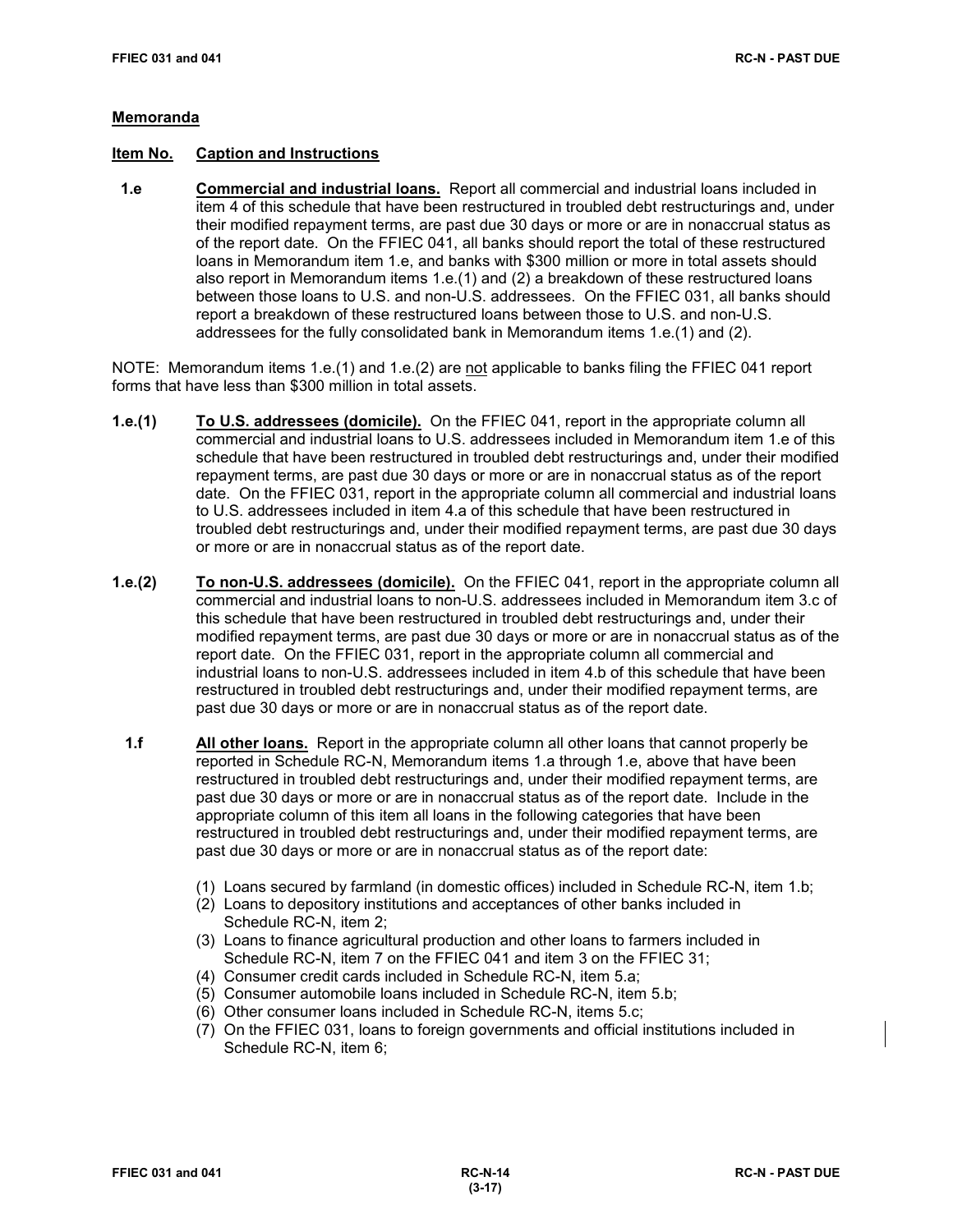# **Item No. Caption and Instructions**

 **1.e Commercial and industrial loans.** Report all commercial and industrial loans included in item 4 of this schedule that have been restructured in troubled debt restructurings and, under their modified repayment terms, are past due 30 days or more or are in nonaccrual status as of the report date. On the FFIEC 041, all banks should report the total of these restructured loans in Memorandum item 1.e, and banks with \$300 million or more in total assets should also report in Memorandum items 1.e.(1) and (2) a breakdown of these restructured loans between those loans to U.S. and non-U.S. addressees. On the FFIEC 031, all banks should report a breakdown of these restructured loans between those to U.S. and non-U.S. addressees for the fully consolidated bank in Memorandum items 1.e.(1) and (2).

NOTE: Memorandum items 1.e.(1) and 1.e.(2) are not applicable to banks filing the FFIEC 041 report forms that have less than \$300 million in total assets.

- **1.e.(1) To U.S. addressees (domicile).** On the FFIEC 041, report in the appropriate column all commercial and industrial loans to U.S. addressees included in Memorandum item 1.e of this schedule that have been restructured in troubled debt restructurings and, under their modified repayment terms, are past due 30 days or more or are in nonaccrual status as of the report date. On the FFIEC 031, report in the appropriate column all commercial and industrial loans to U.S. addressees included in item 4.a of this schedule that have been restructured in troubled debt restructurings and, under their modified repayment terms, are past due 30 days or more or are in nonaccrual status as of the report date.
- **1.e.(2) To non-U.S. addressees (domicile).** On the FFIEC 041, report in the appropriate column all commercial and industrial loans to non-U.S. addressees included in Memorandum item 3.c of this schedule that have been restructured in troubled debt restructurings and, under their modified repayment terms, are past due 30 days or more or are in nonaccrual status as of the report date. On the FFIEC 031, report in the appropriate column all commercial and industrial loans to non-U.S. addressees included in item 4.b of this schedule that have been restructured in troubled debt restructurings and, under their modified repayment terms, are past due 30 days or more or are in nonaccrual status as of the report date.
- **1.f All other loans.** Report in the appropriate column all other loans that cannot properly be reported in Schedule RC-N, Memorandum items 1.a through 1.e, above that have been restructured in troubled debt restructurings and, under their modified repayment terms, are past due 30 days or more or are in nonaccrual status as of the report date. Include in the appropriate column of this item all loans in the following categories that have been restructured in troubled debt restructurings and, under their modified repayment terms, are past due 30 days or more or are in nonaccrual status as of the report date:
	- (1) Loans secured by farmland (in domestic offices) included in Schedule RC-N, item 1.b;
	- (2) Loans to depository institutions and acceptances of other banks included in Schedule RC-N, item 2;
	- (3) Loans to finance agricultural production and other loans to farmers included in Schedule RC-N, item 7 on the FFIEC 041 and item 3 on the FFIEC 31;
	- (4) Consumer credit cards included in Schedule RC-N, item 5.a;
	- (5) Consumer automobile loans included in Schedule RC-N, item 5.b;
	- (6) Other consumer loans included in Schedule RC-N, items 5.c;
	- (7) On the FFIEC 031, loans to foreign governments and official institutions included in Schedule RC-N, item 6;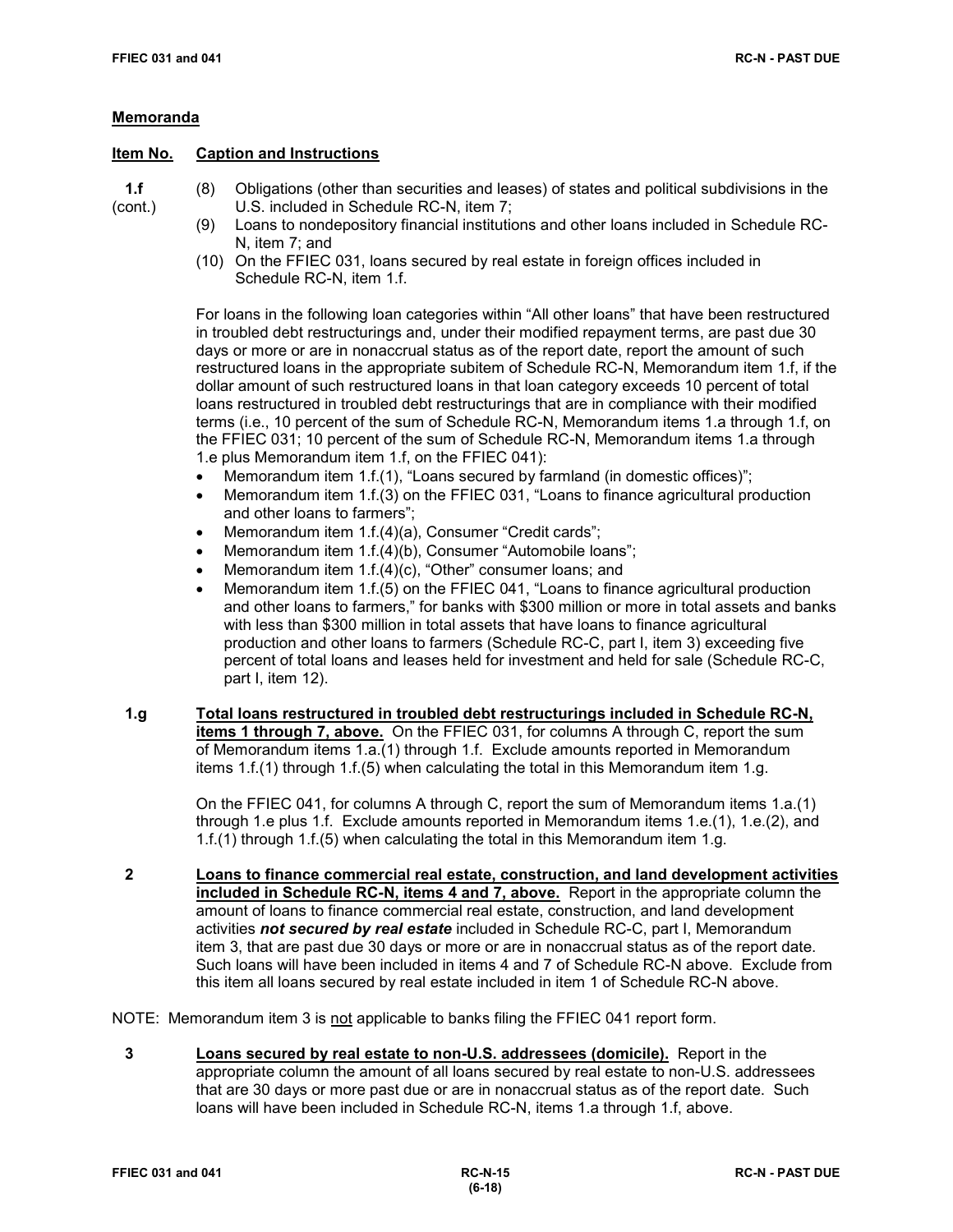# **Item No. Caption and Instructions**

- **1.f** (8) Obligations (other than securities and leases) of states and political subdivisions in the (cont.) U.S. included in Schedule RC-N, item 7; U.S. included in Schedule RC-N, item 7;
	- (9) Loans to nondepository financial institutions and other loans included in Schedule RC-N, item 7; and
	- (10) On the FFIEC 031, loans secured by real estate in foreign offices included in Schedule RC-N, item 1.f.

For loans in the following loan categories within "All other loans" that have been restructured in troubled debt restructurings and, under their modified repayment terms, are past due 30 days or more or are in nonaccrual status as of the report date, report the amount of such restructured loans in the appropriate subitem of Schedule RC-N, Memorandum item 1.f, if the dollar amount of such restructured loans in that loan category exceeds 10 percent of total loans restructured in troubled debt restructurings that are in compliance with their modified terms (i.e., 10 percent of the sum of Schedule RC-N, Memorandum items 1.a through 1.f, on the FFIEC 031; 10 percent of the sum of Schedule RC-N, Memorandum items 1.a through 1.e plus Memorandum item 1.f, on the FFIEC 041):

- Memorandum item 1.f.(1), "Loans secured by farmland (in domestic offices)";
- Memorandum item 1.f.(3) on the FFIEC 031, "Loans to finance agricultural production and other loans to farmers";
- Memorandum item 1.f.(4)(a), Consumer "Credit cards";
- Memorandum item 1.f.(4)(b), Consumer "Automobile loans";
- Memorandum item 1.f.(4)(c), "Other" consumer loans; and
- Memorandum item 1.f.(5) on the FFIEC 041, "Loans to finance agricultural production and other loans to farmers," for banks with \$300 million or more in total assets and banks with less than \$300 million in total assets that have loans to finance agricultural production and other loans to farmers (Schedule RC-C, part I, item 3) exceeding five percent of total loans and leases held for investment and held for sale (Schedule RC-C, part I, item 12).
- **1.g Total loans restructured in troubled debt restructurings included in Schedule RC-N, items 1 through 7, above.** On the FFIEC 031, for columns A through C, report the sum of Memorandum items 1.a.(1) through 1.f. Exclude amounts reported in Memorandum items 1.f.(1) through 1.f.(5) when calculating the total in this Memorandum item 1.g.

On the FFIEC 041, for columns A through C, report the sum of Memorandum items 1.a.(1) through 1.e plus 1.f. Exclude amounts reported in Memorandum items 1.e.(1), 1.e.(2), and 1.f.(1) through 1.f.(5) when calculating the total in this Memorandum item 1.g.

- **2 Loans to finance commercial real estate, construction, and land development activities included in Schedule RC-N, items 4 and 7, above.** Report in the appropriate column the amount of loans to finance commercial real estate, construction, and land development activities *not secured by real estate* included in Schedule RC-C, part I, Memorandum item 3, that are past due 30 days or more or are in nonaccrual status as of the report date. Such loans will have been included in items 4 and 7 of Schedule RC-N above. Exclude from this item all loans secured by real estate included in item 1 of Schedule RC-N above.
- NOTE: Memorandum item 3 is not applicable to banks filing the FFIEC 041 report form.
	- **3 Loans secured by real estate to non-U.S. addressees (domicile).** Report in the appropriate column the amount of all loans secured by real estate to non-U.S. addressees that are 30 days or more past due or are in nonaccrual status as of the report date. Such loans will have been included in Schedule RC-N, items 1.a through 1.f, above.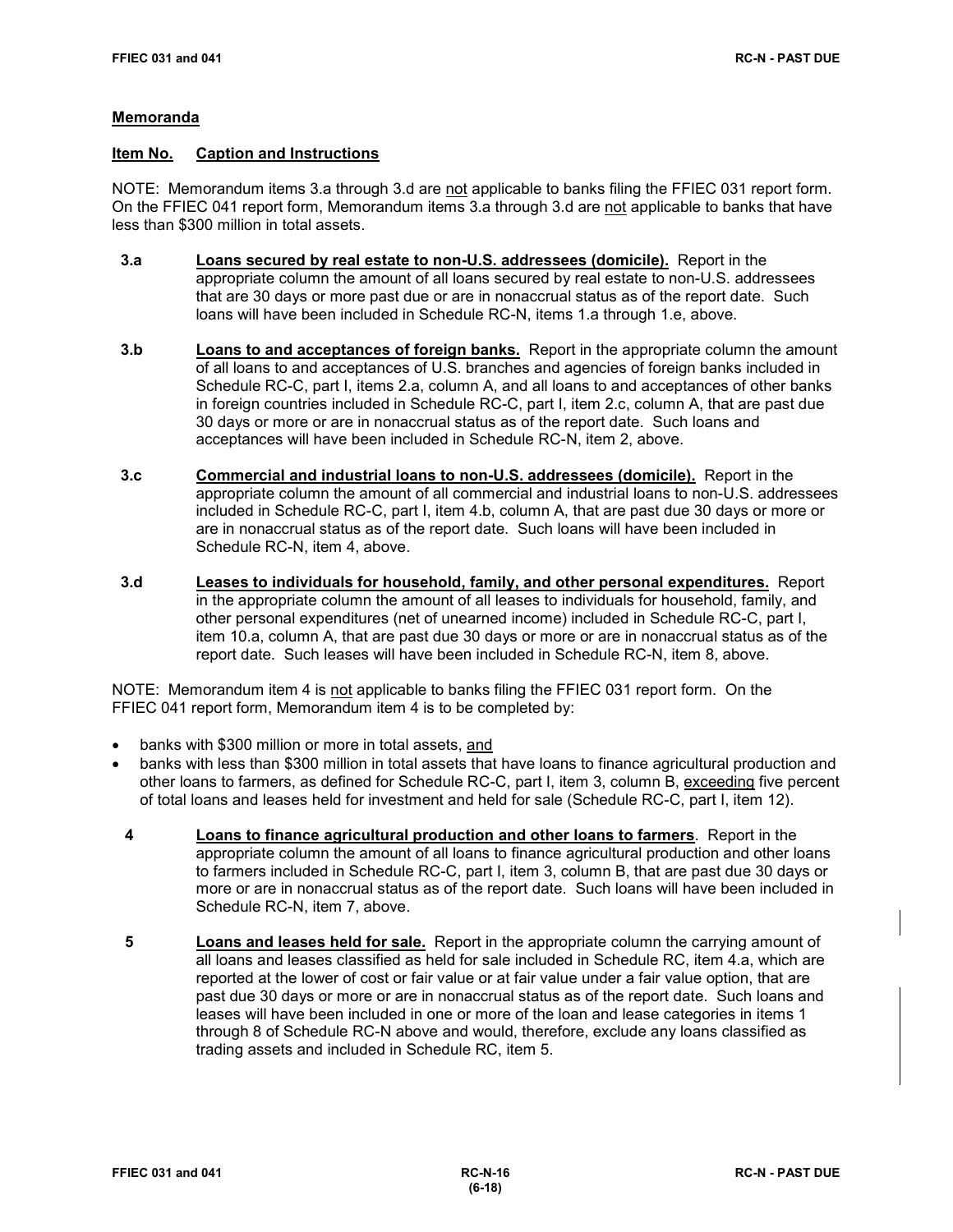# **Item No. Caption and Instructions**

NOTE: Memorandum items 3.a through 3.d are not applicable to banks filing the FFIEC 031 report form. On the FFIEC 041 report form, Memorandum items 3.a through 3.d are not applicable to banks that have less than \$300 million in total assets.

- **3.a Loans secured by real estate to non-U.S. addressees (domicile).** Report in the appropriate column the amount of all loans secured by real estate to non-U.S. addressees that are 30 days or more past due or are in nonaccrual status as of the report date. Such loans will have been included in Schedule RC-N, items 1.a through 1.e, above.
- **3.b Loans to and acceptances of foreign banks.** Report in the appropriate column the amount of all loans to and acceptances of U.S. branches and agencies of foreign banks included in Schedule RC-C, part I, items 2.a, column A, and all loans to and acceptances of other banks in foreign countries included in Schedule RC-C, part I, item 2.c, column A, that are past due 30 days or more or are in nonaccrual status as of the report date. Such loans and acceptances will have been included in Schedule RC-N, item 2, above.
- **3.c Commercial and industrial loans to non-U.S. addressees (domicile).** Report in the appropriate column the amount of all commercial and industrial loans to non-U.S. addressees included in Schedule RC-C, part I, item 4.b, column A, that are past due 30 days or more or are in nonaccrual status as of the report date. Such loans will have been included in Schedule RC-N, item 4, above.
- **3.d Leases to individuals for household, family, and other personal expenditures.** Report in the appropriate column the amount of all leases to individuals for household, family, and other personal expenditures (net of unearned income) included in Schedule RC-C, part I, item 10.a, column A, that are past due 30 days or more or are in nonaccrual status as of the report date. Such leases will have been included in Schedule RC-N, item 8, above.

NOTE: Memorandum item 4 is not applicable to banks filing the FFIEC 031 report form. On the FFIEC 041 report form, Memorandum item 4 is to be completed by:

- banks with \$300 million or more in total assets, and
- banks with less than \$300 million in total assets that have loans to finance agricultural production and other loans to farmers, as defined for Schedule RC-C, part I, item 3, column B, exceeding five percent of total loans and leases held for investment and held for sale (Schedule RC-C, part I, item 12).
- **4 Loans to finance agricultural production and other loans to farmers**. Report in the appropriate column the amount of all loans to finance agricultural production and other loans to farmers included in Schedule RC-C, part I, item 3, column B, that are past due 30 days or more or are in nonaccrual status as of the report date. Such loans will have been included in Schedule RC-N, item 7, above.
- **5 Loans and leases held for sale.** Report in the appropriate column the carrying amount of all loans and leases classified as held for sale included in Schedule RC, item 4.a, which are reported at the lower of cost or fair value or at fair value under a fair value option, that are past due 30 days or more or are in nonaccrual status as of the report date. Such loans and leases will have been included in one or more of the loan and lease categories in items 1 through 8 of Schedule RC-N above and would, therefore, exclude any loans classified as trading assets and included in Schedule RC, item 5.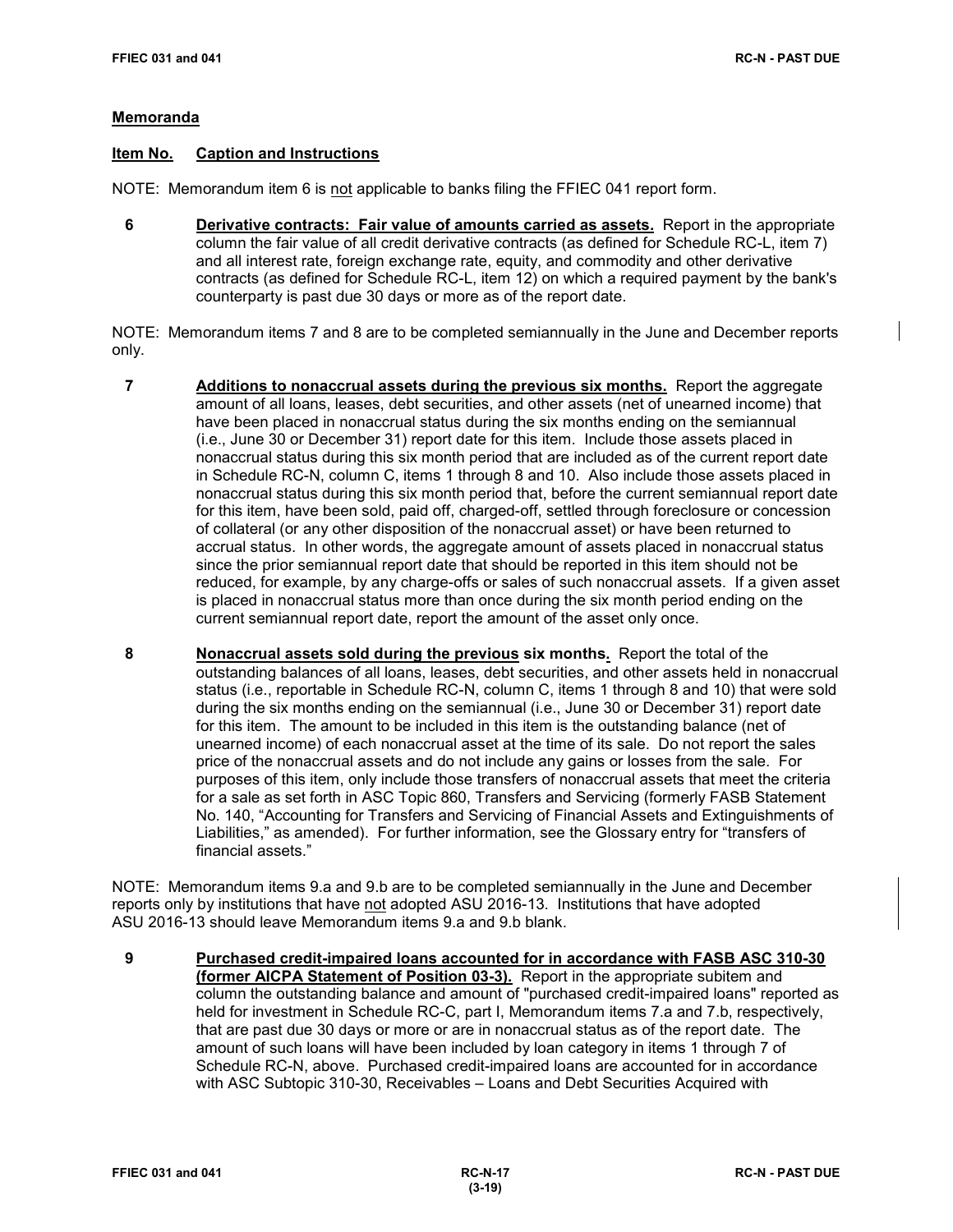# **Item No. Caption and Instructions**

NOTE: Memorandum item 6 is not applicable to banks filing the FFIEC 041 report form.

 **6 Derivative contracts: Fair value of amounts carried as assets.** Report in the appropriate column the fair value of all credit derivative contracts (as defined for Schedule RC-L, item 7) and all interest rate, foreign exchange rate, equity, and commodity and other derivative contracts (as defined for Schedule RC-L, item 12) on which a required payment by the bank's counterparty is past due 30 days or more as of the report date.

NOTE: Memorandum items 7 and 8 are to be completed semiannually in the June and December reports only.

- **7 Additions to nonaccrual assets during the previous six months.** Report the aggregate amount of all loans, leases, debt securities, and other assets (net of unearned income) that have been placed in nonaccrual status during the six months ending on the semiannual (i.e., June 30 or December 31) report date for this item. Include those assets placed in nonaccrual status during this six month period that are included as of the current report date in Schedule RC-N, column C, items 1 through 8 and 10. Also include those assets placed in nonaccrual status during this six month period that, before the current semiannual report date for this item, have been sold, paid off, charged-off, settled through foreclosure or concession of collateral (or any other disposition of the nonaccrual asset) or have been returned to accrual status. In other words, the aggregate amount of assets placed in nonaccrual status since the prior semiannual report date that should be reported in this item should not be reduced, for example, by any charge-offs or sales of such nonaccrual assets. If a given asset is placed in nonaccrual status more than once during the six month period ending on the current semiannual report date, report the amount of the asset only once.
- **8 Nonaccrual assets sold during the previous six months.** Report the total of the outstanding balances of all loans, leases, debt securities, and other assets held in nonaccrual status (i.e., reportable in Schedule RC-N, column C, items 1 through 8 and 10) that were sold during the six months ending on the semiannual (i.e., June 30 or December 31) report date for this item. The amount to be included in this item is the outstanding balance (net of unearned income) of each nonaccrual asset at the time of its sale. Do not report the sales price of the nonaccrual assets and do not include any gains or losses from the sale. For purposes of this item, only include those transfers of nonaccrual assets that meet the criteria for a sale as set forth in ASC Topic 860, Transfers and Servicing (formerly FASB Statement No. 140, "Accounting for Transfers and Servicing of Financial Assets and Extinguishments of Liabilities," as amended). For further information, see the Glossary entry for "transfers of financial assets."

NOTE: Memorandum items 9.a and 9.b are to be completed semiannually in the June and December reports only by institutions that have not adopted ASU 2016-13. Institutions that have adopted ASU 2016-13 should leave Memorandum items 9.a and 9.b blank.

 **9 Purchased credit-impaired loans accounted for in accordance with FASB ASC 310-30 (former AICPA Statement of Position 03-3).** Report in the appropriate subitem and column the outstanding balance and amount of "purchased credit-impaired loans" reported as held for investment in Schedule RC-C, part I, Memorandum items 7.a and 7.b, respectively, that are past due 30 days or more or are in nonaccrual status as of the report date. The amount of such loans will have been included by loan category in items 1 through 7 of Schedule RC-N, above. Purchased credit-impaired loans are accounted for in accordance with ASC Subtopic 310-30, Receivables – Loans and Debt Securities Acquired with